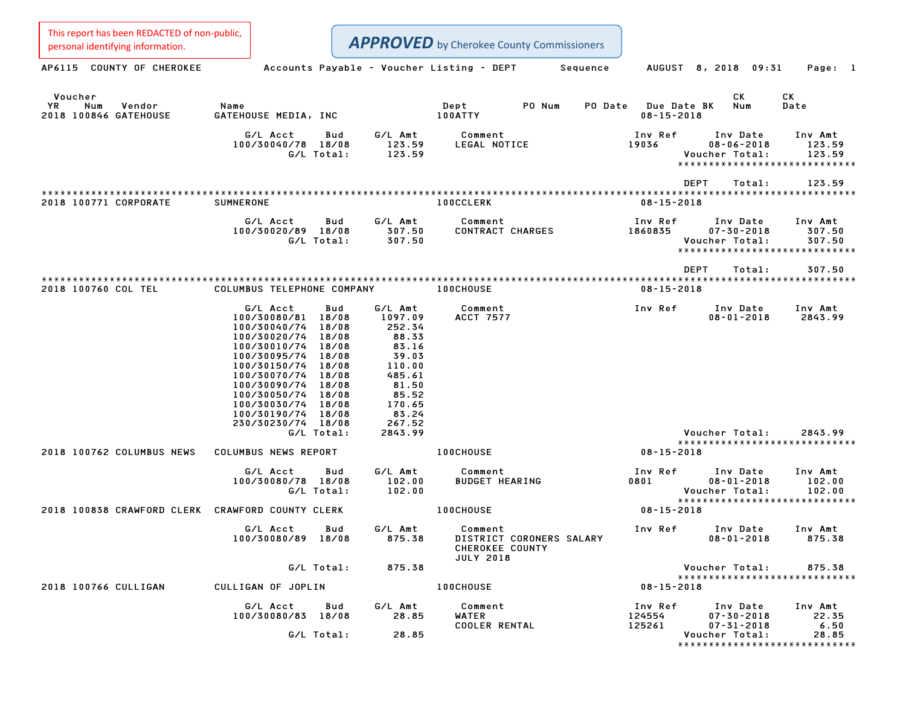| This report has been REDACTED of non-public,<br>personal identifying information. |                                                                                                                                                                                                                |                                                                                                                                                                                                                                      | <b>APPROVED</b> by Cherokee County Commissioners                                  |          |                                 |                                                                                 |                             |
|-----------------------------------------------------------------------------------|----------------------------------------------------------------------------------------------------------------------------------------------------------------------------------------------------------------|--------------------------------------------------------------------------------------------------------------------------------------------------------------------------------------------------------------------------------------|-----------------------------------------------------------------------------------|----------|---------------------------------|---------------------------------------------------------------------------------|-----------------------------|
| AP6115 COUNTY OF CHEROKEE                                                         |                                                                                                                                                                                                                | Accounts Payable - Voucher Listing - DEPT                                                                                                                                                                                            |                                                                                   | Sequence |                                 | AUGUST 8, 2018 09:31                                                            | Page: 1                     |
| Voucher<br>YR<br>Num<br>Vendor<br>2018 100846 GATEHOUSE                           | Name<br>GATEHOUSE MEDIA, INC                                                                                                                                                                                   |                                                                                                                                                                                                                                      | Dept<br>PO Num<br>100ATTY                                                         | PO Date  | Due Date BK<br>$08 - 15 - 2018$ | СK<br>Num                                                                       | СK<br>Date                  |
|                                                                                   | G/L Acct<br>100/30040/78 18/08<br>G/L Total:                                                                                                                                                                   | G/L Amt<br>Bud<br>123.59<br>123.59                                                                                                                                                                                                   | Comment<br>LEGAL NOTICE                                                           |          | Inv Ref<br>19036                | Inv Date<br>$08 - 06 - 2018$<br>Voucher Total:                                  | Inv Amt<br>123.59<br>123.59 |
|                                                                                   |                                                                                                                                                                                                                |                                                                                                                                                                                                                                      |                                                                                   |          |                                 | DEPT<br>Total:                                                                  | 123.59                      |
| 2018 100771 CORPORATE                                                             | <b>SUMNERONE</b>                                                                                                                                                                                               |                                                                                                                                                                                                                                      | <b>100CCLERK</b>                                                                  |          | $08 - 15 - 2018$                |                                                                                 |                             |
|                                                                                   | G/L Acct<br>100/30020/89 18/08<br>G/L Total:                                                                                                                                                                   | G/L Amt<br>Bud<br>307.50<br>307.50                                                                                                                                                                                                   | Comment<br>CONTRACT CHARGES                                                       |          | Inv Ref<br>1860835              | Inv Date<br>$07 - 30 - 2018$<br>Voucher Total:<br>***************************** | Inv Amt<br>307.50<br>307.50 |
|                                                                                   |                                                                                                                                                                                                                |                                                                                                                                                                                                                                      |                                                                                   |          |                                 | <b>DEPT</b><br>Total:                                                           | 307.50                      |
| 2018 100760 COL TEL                                                               | COLUMBUS TELEPHONE COMPANY                                                                                                                                                                                     |                                                                                                                                                                                                                                      | <b>100CHOUSE</b>                                                                  |          | $08 - 15 - 2018$                |                                                                                 |                             |
|                                                                                   | G/L Acct<br>100/30080/81<br>100/30040/74<br>100/30020/74<br>100/30010/74<br>100/30095/74<br>100/30150/74<br>100/30070/74<br>100/30090/74<br>100/30050/74<br>100/30030/74<br>100/30190/74<br>230/30230/74 18/08 | G/L Amt<br>Bud<br>1097.09<br>18/08<br>18/08<br>252.34<br>88.33<br>18/08<br>83.16<br>18/08<br>39.03<br>18/08<br>110.00<br>18/08<br>18/08<br>485.61<br>81.50<br>18/08<br>85.52<br>18/08<br>18/08<br>170.65<br>83.24<br>18/08<br>267.52 | Comment<br><b>ACCT 7577</b>                                                       |          | Inv Ref                         | Inv Date<br>$08 - 01 - 2018$                                                    | Inv Amt<br>2843.99          |
|                                                                                   | G/L Total:                                                                                                                                                                                                     | 2843.99                                                                                                                                                                                                                              |                                                                                   |          |                                 | Voucher Total:<br>*****************************                                 | 2843.99                     |
| 2018 100762 COLUMBUS NEWS                                                         | COLUMBUS NEWS REPORT                                                                                                                                                                                           |                                                                                                                                                                                                                                      | 100CHOUSE                                                                         |          | $08 - 15 - 2018$                |                                                                                 |                             |
|                                                                                   | G/L Acct<br>100/30080/78 18/08<br>G/L Total:                                                                                                                                                                   | G/L Amt<br>Bud<br>102.00<br>102.00                                                                                                                                                                                                   | Comment<br><b>BUDGET HEARING</b>                                                  |          | Inv Ref<br>0801                 | Inv Date<br>$08 - 01 - 2018$<br>Voucher Total:<br>***************************** | Inv Amt<br>102.00<br>102.00 |
| 2018 100838 CRAWFORD CLERK CRAWFORD COUNTY CLERK                                  |                                                                                                                                                                                                                |                                                                                                                                                                                                                                      | 100CHOUSE                                                                         |          | $08 - 15 - 2018$                |                                                                                 |                             |
|                                                                                   | G/L Acct Bud<br>100/30080/89 18/08                                                                                                                                                                             | G/L Amt<br>875.38                                                                                                                                                                                                                    | Comment<br>DISTRICT CORONERS SALARY<br><b>CHEROKEE COUNTY</b><br><b>JULY 2018</b> |          | Inv Ref                         | Inv Date<br>$08 - 01 - 2018$                                                    | Inv Amt<br>875.38           |
|                                                                                   | G/L Total:                                                                                                                                                                                                     | 875.38                                                                                                                                                                                                                               |                                                                                   |          |                                 | Voucher Total:<br>******************************                                | 875.38                      |
| 2018 100766 CULLIGAN                                                              | CULLIGAN OF JOPLIN                                                                                                                                                                                             |                                                                                                                                                                                                                                      | <b>100CHOUSE</b>                                                                  |          | $08 - 15 - 2018$                |                                                                                 |                             |
|                                                                                   | G/L Acct Bud<br>100/30080/83 18/08                                                                                                                                                                             | G/L Amt<br>28.85                                                                                                                                                                                                                     | Comment<br>WATER<br><b>COOLER RENTAL</b>                                          |          | Inv Ref<br>124554<br>125261     | Inv Date<br>$07 - 30 - 2018$<br>$07 - 31 - 2018$                                | Inv Amt<br>22.35<br>6.50    |
|                                                                                   | G/L Total:                                                                                                                                                                                                     | 28.85                                                                                                                                                                                                                                |                                                                                   |          |                                 | Voucher Total:<br>*****************************                                 | 28.85                       |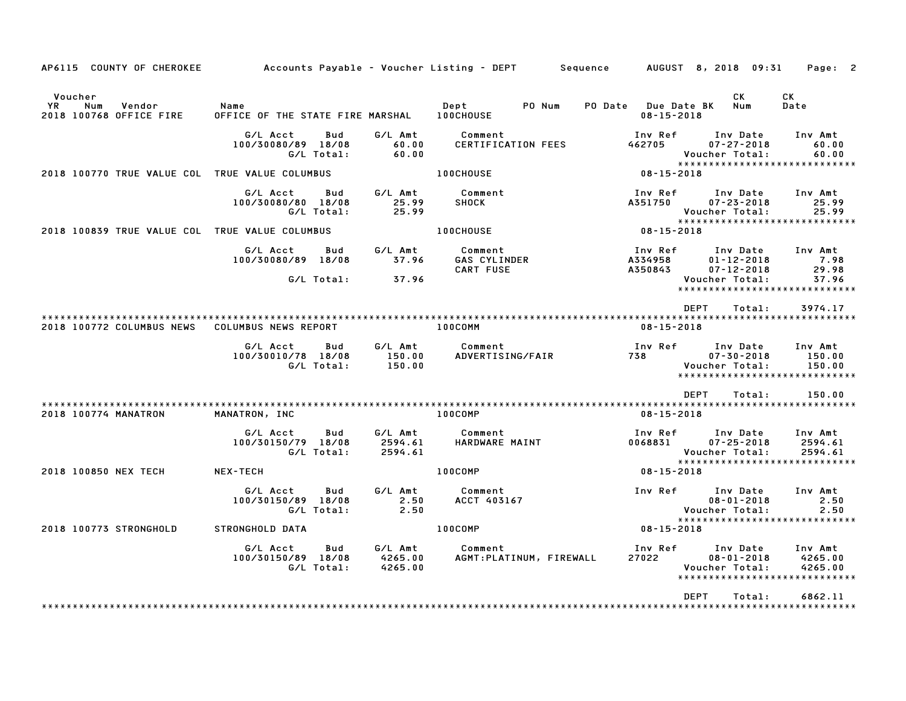| AP6115 COUNTY OF CHEROKEE                                 |                                          |                   |                               | Accounts Payable – Voucher Listing – DEPT         Sequence |                                                   | AUGUST 8, 2018 09:31                                                            | Page: 2                                          |
|-----------------------------------------------------------|------------------------------------------|-------------------|-------------------------------|------------------------------------------------------------|---------------------------------------------------|---------------------------------------------------------------------------------|--------------------------------------------------|
| Voucher<br>YR<br>Num<br>Vendor<br>2018 100768 OFFICE FIRE | Name<br>OFFICE OF THE STATE FIRE MARSHAL |                   |                               | Dept<br>PO Num<br>100CHOUSE                                | PO Date<br><b>Due Date BK</b><br>$08 - 15 - 2018$ | CK.<br>Num                                                                      | СK<br>Date                                       |
|                                                           | G/L Acct<br>100/30080/89 18/08           | Bud<br>G/L Total: | G/L Amt<br>60.00<br>60.00     | Comment<br><b>CERTIFICATION FEES</b>                       | Inv Ref<br>462705                                 | Inv Date<br>$07 - 27 - 2018$<br>Voucher Total:<br>*****************             | Inv Amt<br>60.00<br>60.00<br>* * * * * * * * * * |
| 2018 100770 TRUE VALUE COL TRUE VALUE COLUMBUS            |                                          |                   |                               | <b>100CHOUSE</b>                                           | $08 - 15 - 2018$                                  |                                                                                 |                                                  |
|                                                           | G/L Acct<br>100/30080/80 18/08           | Bud<br>G/L Total: | G/L Amt<br>25.99<br>25.99     | Comment<br><b>SHOCK</b>                                    | Inv Ref<br>A351750                                | Inv Date<br>$07 - 23 - 2018$<br>Voucher Total:                                  | Inv Amt<br>25.99<br>25.99                        |
| 2018 100839 TRUE VALUE COL TRUE VALUE COLUMBUS            |                                          |                   |                               | <b>100CHOUSE</b>                                           | $08 - 15 - 2018$                                  | *****************************                                                   |                                                  |
|                                                           | G/L Acct<br>100/30080/89 18/08           | Bud               | G/L Amt<br>37.96              | Comment<br><b>GAS CYLINDER</b><br><b>CART FUSE</b>         | Inv Ref<br>A334958<br>A350843                     | Inv Date<br>$01 - 12 - 2018$<br>$07 - 12 - 2018$                                | Inv Amt<br>7.98<br>29.98                         |
|                                                           |                                          | G/L Total:        | 37.96                         |                                                            |                                                   | Voucher Total:<br>****************                                              | 37.96<br>***********                             |
| 2018 100772 COLUMBUS NEWS                                 | COLUMBUS NEWS REPORT                     |                   |                               | 100COMM                                                    | $08 - 15 - 2018$                                  | <b>DEPT</b><br>Total:                                                           | 3974.17                                          |
|                                                           | G/L Acct<br>100/30010/78 18/08           | Bud<br>G/L Total: | G/L Amt<br>150.00<br>150.00   | Comment<br>ADVERTISING/FAIR                                | Inv Ref<br>738                                    | Inv Date<br>$07 - 30 - 2018$<br>Voucher Total:<br>***************************** | Inv Amt<br>150.00<br>150.00                      |
|                                                           |                                          |                   |                               |                                                            |                                                   | <b>DEPT</b><br>Total:                                                           | 150.00                                           |
| 2018 100774 MANATRON                                      | MANATRON, INC                            |                   |                               | 100COMP                                                    | $08 - 15 - 2018$                                  |                                                                                 |                                                  |
|                                                           | G/L Acct<br>100/30150/79 18/08           | Bud<br>G/L Total: | G/L Amt<br>2594.61<br>2594.61 | Comment<br>HARDWARE MAINT                                  | Inv Ref<br>0068831                                | Inv Date<br>$07 - 25 - 2018$<br>Voucher Total:                                  | Inv Amt<br>2594.61<br>2594.61                    |
| 2018 100850 NEX TECH                                      | <b>NEX-TECH</b>                          |                   |                               | 100COMP                                                    | $08 - 15 - 2018$                                  | *****************************                                                   |                                                  |
|                                                           | G/L Acct<br>100/30150/89 18/08           | Bud<br>G/L Total: | G/L Amt<br>2.50<br>2.50       | Comment<br>ACCT 403167                                     | Inv Ref                                           | Inv Date<br>$08 - 01 - 2018$<br>Voucher Total:                                  | Inv Amt<br>2.50<br>2.50                          |
| 2018 100773 STRONGHOLD                                    | STRONGHOLD DATA                          |                   |                               | 100COMP                                                    | $08 - 15 - 2018$                                  | *****************************                                                   |                                                  |
|                                                           | G/L Acct<br>100/30150/89 18/08           | Bud<br>G/L Total: | G/L Amt<br>4265.00<br>4265.00 | Comment<br>AGMT: PLATINUM, FIREWALL                        | Inv Ref<br>27022                                  | Inv Date<br>$08 - 01 - 2018$<br>Voucher Total:<br>***************************** | Inv Amt<br>4265.00<br>4265.00                    |
|                                                           |                                          |                   |                               |                                                            |                                                   | <b>DFPT</b><br>Total:                                                           | 6862.11                                          |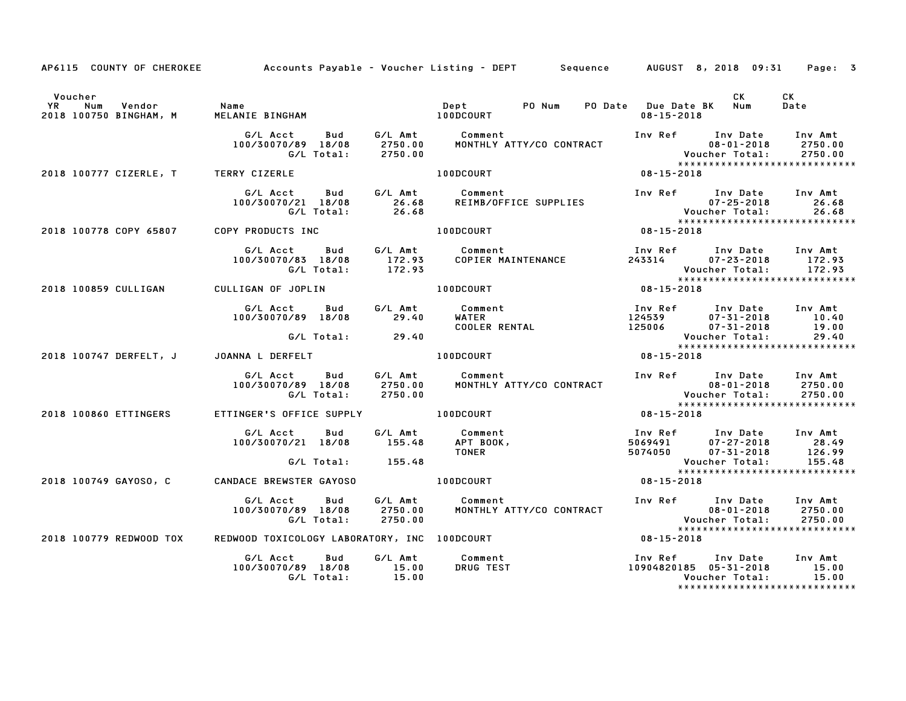|                                                      |                                                  |                    | AP6115 COUNTY OF CHEROKEE Accounts Payable – Voucher Listing – DEPT Sequence AUGUST 8, 2018 09:31                                                                                                                                          |                                | Page: 3     |
|------------------------------------------------------|--------------------------------------------------|--------------------|--------------------------------------------------------------------------------------------------------------------------------------------------------------------------------------------------------------------------------------------|--------------------------------|-------------|
| Voucher                                              |                                                  |                    |                                                                                                                                                                                                                                            | CK                             | CK.<br>Date |
|                                                      |                                                  |                    |                                                                                                                                                                                                                                            |                                |             |
| 2018 100777 CIZERLE, T TERRY CIZERLE                 |                                                  |                    |                                                                                                                                                                                                                                            |                                |             |
|                                                      |                                                  |                    | 97 Mort Mud G/L Amt Comment Inv Ref Inv Date Inv Amt<br>100/30070/21 18/08 26.68 REIMB/OFFICE SUPPLIES Velocher Total: 26.68<br>C/L Total: 26.68 26.68 Voucher Total: 26.68<br>2018 100778 COPY 65807 COPY PRODUCTS INC 100DCOURT 100D     |                                |             |
|                                                      |                                                  |                    |                                                                                                                                                                                                                                            |                                |             |
|                                                      |                                                  |                    | G/L Acct Bud G/L Amt Comment Inv Ref Inv Date Inv Amt<br>100/30070/83 18/08 172.93 COPIER MAINTENANCE 243314 07–23–2018 172.93<br>G/L Total: 172.93 COPIER MAINTENANCE 243314 07–23–2018 172.93                                            |                                |             |
|                                                      |                                                  |                    | G/L Total: 172.93 Voucher Total: 172.93<br>2018 100859 CULLIGAN CULLIGAN OF JOPLIN 100DCOURT 100DCOURT 08-15-2018                                                                                                                          |                                |             |
|                                                      |                                                  |                    | G/LAcct Bud G/LAmt Comment<br>100/30070/89 18/08 29.40 WATER 124539 07-31-2018 10.40<br>G/LTotal: 29.40 COOLER RENTAL 125006 07-31-2018 19.00<br>ANNA LDERFELT 100DCOURT 100DCOURT 08-15-2018                                              |                                |             |
|                                                      |                                                  |                    |                                                                                                                                                                                                                                            |                                |             |
| 2018 100747 DERFELT, J JOANNA L DERFELT AND MODCOURT |                                                  |                    |                                                                                                                                                                                                                                            |                                |             |
|                                                      |                                                  |                    | 6/L Acct Bud G/L Amt Comment Inv Ref Inv Date Inv Amt Ind/30070/89 18/08 2750.00<br>100/30070/89 18/08 2750.00 MONTHLY ATTY/CO CONTRACT 08-01-2018 2750.00<br>6/L Total: 2750.00<br>100/30070/89 18/08 2750.00                             | *****************************  |             |
| 2018 100860 ETTINGERS                                | ETTINGER'S OFFICE SUPPLY 100DCOURT               |                    |                                                                                                                                                                                                                                            | $08 - 15 - 2018$               |             |
|                                                      |                                                  |                    | 6/LAcct Bud 6/LAmt Comment<br>100/30070/21 18/08 155.48 APT BOOK, 5069491 07-27-2018 28.49<br>6/LTotal: 155.48 TONER 5074050 07-31-2018 126.99<br>NDACE BREWSTER GAYOSO 100DCOURT 08-15-2018<br>NDACE BREWSTER GAYOSO 100DCOURT 08-15-2018 |                                |             |
| 2018 100749 GAYOSO, C CANDACE BREWSTER GAYOSO        |                                                  |                    |                                                                                                                                                                                                                                            | ****************************** |             |
|                                                      | G/L Acct Bud<br>100/30070/89 18/08<br>G/L Total: | 2750.00<br>2750.00 | G/L Amt         Comment<br>2750.00       MONTHLY ATTY/CO CONTRACT                                                                                                                                                                          | *****************************  |             |
| 2018 100779 REDWOOD TOX                              |                                                  |                    | REDWOOD TOXICOLOGY LABORATORY, INC 100DCOURT                                                                                                                                                                                               | $08 - 15 - 2018$               |             |
|                                                      | 100/30070/89 18/08 15.00<br>G/L Total: 15.00     |                    |                                                                                                                                                                                                                                            | *****************************  |             |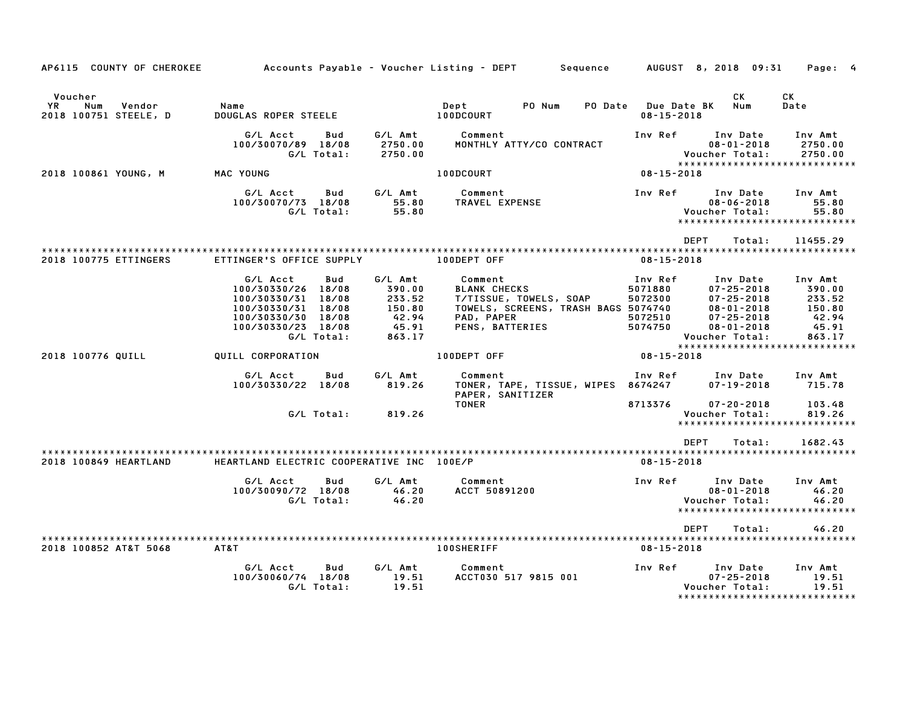| AP6115 COUNTY OF CHEROKEE                                |                                                                                                                                             |                                                                   | Accounts Payable – Voucher Listing – DEPT<br>Sequence                                                                            |                                                     | AUGUST 8, 2018 09:31                                                                                                           | Page: 4                                                           |
|----------------------------------------------------------|---------------------------------------------------------------------------------------------------------------------------------------------|-------------------------------------------------------------------|----------------------------------------------------------------------------------------------------------------------------------|-----------------------------------------------------|--------------------------------------------------------------------------------------------------------------------------------|-------------------------------------------------------------------|
| Voucher<br>YR.<br>Num<br>Vendor<br>2018 100751 STEELE, D | Name<br>DOUGLAS ROPER STEELE                                                                                                                |                                                                   | PO Num<br>Dept<br>PO Date<br>100DCOURT                                                                                           | $08 - 15 - 2018$                                    | СK<br>Num<br><b>Due Date BK</b>                                                                                                | <b>CK</b><br>Date                                                 |
|                                                          | G/L Acct<br>Bud<br>100/30070/89 18/08<br>G/L Total:                                                                                         | G/L Amt<br>2750.00<br>2750.00                                     | Comment<br>MONTHLY ATTY/CO CONTRACT                                                                                              | Inv Ref                                             | Inv Date<br>$08 - 01 - 2018$<br>Voucher Total:                                                                                 | Inv Amt<br>2750.00<br>2750.00                                     |
| 2018 100861 YOUNG, M                                     | MAC YOUNG                                                                                                                                   |                                                                   | 100DCOURT                                                                                                                        | $08 - 15 - 2018$                                    | *****************************                                                                                                  |                                                                   |
|                                                          | G/L Acct<br>Bud<br>100/30070/73 18/08<br>G/L Total:                                                                                         | G/L Amt<br>55.80<br>55.80                                         | Comment<br>TRAVEL EXPENSE                                                                                                        | Inv Ref                                             | Inv Date<br>$08 - 06 - 2018$<br>Voucher Total:<br>*****************************                                                | Inv Amt<br>55.80<br>55.80                                         |
|                                                          |                                                                                                                                             |                                                                   |                                                                                                                                  |                                                     | <b>DEPT</b><br>Total:                                                                                                          | 11455.29                                                          |
| 2018 100775 ETTINGERS                                    | ETTINGER'S OFFICE SUPPLY                                                                                                                    |                                                                   | 100DEPT OFF                                                                                                                      | $08 - 15 - 2018$                                    |                                                                                                                                |                                                                   |
|                                                          | G/L Acct<br>Bud<br>100/30330/26 18/08<br>100/30330/31 18/08<br>100/30330/31 18/08<br>100/30330/30 18/08<br>100/30330/23 18/08<br>G/L Total: | G/L Amt<br>390.00<br>233.52<br>150.80<br>42.94<br>45.91<br>863.17 | Comment<br><b>BLANK CHECKS</b><br>T/TISSUE, TOWELS, SOAP<br>TOWELS, SCREENS, TRASH BAGS 5074740<br>PAD, PAPER<br>PENS, BATTERIES | Inv Ref<br>5071880<br>5072300<br>5072510<br>5074750 | Inv Date<br>$07 - 25 - 2018$<br>$07 - 25 - 2018$<br>$08 - 01 - 2018$<br>$07 - 25 - 2018$<br>$08 - 01 - 2018$<br>Voucher Total: | Inv Amt<br>390.00<br>233.52<br>150.80<br>42.94<br>45.91<br>863.17 |
| 2018 100776 QUILL                                        | QUILL CORPORATION                                                                                                                           |                                                                   | 100DEPT OFF                                                                                                                      | $08 - 15 - 2018$                                    | *****************************                                                                                                  |                                                                   |
|                                                          | G/L Acct<br>Bud<br>100/30330/22 18/08                                                                                                       | G/L Amt<br>819.26                                                 | Comment<br>TONER, TAPE, TISSUE, WIPES 8674247<br>PAPER, SANITIZER                                                                | Inv Ref                                             | Inv Date<br>$07 - 19 - 2018$                                                                                                   | Inv Amt<br>715.78                                                 |
|                                                          | G/L Total:                                                                                                                                  | 819.26                                                            | <b>TONER</b>                                                                                                                     | 8713376                                             | $07 - 20 - 2018$<br>Voucher Total:<br>*****************************                                                            | 103.48<br>819.26                                                  |
| 2018 100849 HEARTLAND                                    | HEARTLAND ELECTRIC COOPERATIVE INC 100E/P                                                                                                   |                                                                   |                                                                                                                                  | $08 - 15 - 2018$                                    | <b>DEPT</b><br>Total:                                                                                                          | 1682.43                                                           |
|                                                          | G/L Acct<br>Bud<br>100/30090/72 18/08<br>G/L Total:                                                                                         | G/L Amt<br>46.20<br>46.20                                         | Comment<br>ACCT 50891200                                                                                                         | Inv Ref                                             | Inv Date<br>$08 - 01 - 2018$<br>Voucher Total:<br>******************************                                               | Inv Amt<br>46.20<br>46.20                                         |
|                                                          |                                                                                                                                             |                                                                   |                                                                                                                                  |                                                     | <b>DEPT</b><br>Total:                                                                                                          | 46.20                                                             |
| 2018 100852 AT&T 5068                                    | AT&T                                                                                                                                        |                                                                   | <b>100SHERIFF</b>                                                                                                                | $08 - 15 - 2018$                                    |                                                                                                                                |                                                                   |
|                                                          | G/L Acct<br>Bud<br>100/30060/74 18/08<br>G/L Total:                                                                                         | G/L Amt<br>19.51<br>19.51                                         | Comment<br>ACCT030 517 9815 001                                                                                                  | Inv Ref                                             | Inv Date<br>$07 - 25 - 2018$<br>Voucher Total:<br>******************                                                           | Inv Amt<br>19.51<br>19.51<br>************                         |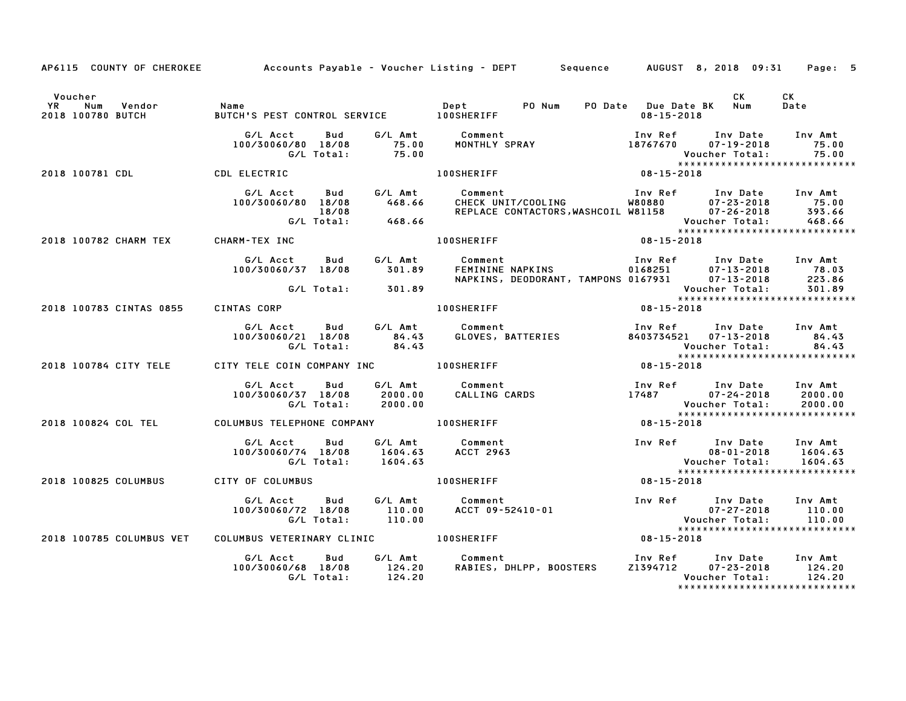|                                                                |                                                                                            |                       | AP6115 COUNTY OF CHEROKEE Accounts Payable - Voucher Listing - DEPT Sequence AUGUST 8, 2018 09:31 Page: 5                                                                                                                               |                                                        |      |                                                       |
|----------------------------------------------------------------|--------------------------------------------------------------------------------------------|-----------------------|-----------------------------------------------------------------------------------------------------------------------------------------------------------------------------------------------------------------------------------------|--------------------------------------------------------|------|-------------------------------------------------------|
| Voucher<br>VR Num Vendor   Name<br>2018 100780 BUTCH     BUTCH |                                                                                            |                       |                                                                                                                                                                                                                                         |                                                        | CK L | CK<br>Date                                            |
|                                                                | G/L Total: 75.00                                                                           |                       | 75.00<br>Total: 75.00 Voucher Total: 75.00<br>Pous Attack Moucher Total: 75.00<br>Pous Attack Moucher Total: 75.00<br>D8-15-2018                                                                                                        |                                                        |      |                                                       |
| 2018 100781 CDL CDL CDL ELECTRIC                               |                                                                                            |                       |                                                                                                                                                                                                                                         |                                                        |      |                                                       |
|                                                                | 100/30060/80 18/08 468.66<br>18/08 6/L Total: 468.66                                       |                       | G/L Acct Bud G/L Amt Comment                                                                                                                                                                                                            |                                                        |      | Voucher Total: 468.66<br>**************************** |
| 2018 100782 CHARM TEX CHARM-TEX INC                            |                                                                                            |                       | $08 - 15 - 2018$<br>100SHERIFF                                                                                                                                                                                                          |                                                        |      |                                                       |
|                                                                |                                                                                            |                       | G/L Acct Bud G/L Amt Comment Inv Ref Inv Date Inv Amt<br>100/30060/37 18/08 301.89 FEMININE NAPKINS 0168251 07–13–2018 78.03<br>100/30060/37 18/08 301.89 NAPKINS, DEODORANT, TAMPONS 0167931 07–13–2018 223.86<br>107–13–2018 C/L Tota |                                                        |      |                                                       |
|                                                                |                                                                                            | $G/L$ Total: $301.89$ |                                                                                                                                                                                                                                         | Voucher Total: 301.89<br>***************************** |      |                                                       |
| 2018 100783 CINTAS 0855 CINTAS CORP                            |                                                                                            |                       | 100SHERIFF 08-15-2018                                                                                                                                                                                                                   |                                                        |      |                                                       |
|                                                                |                                                                                            |                       |                                                                                                                                                                                                                                         |                                                        |      |                                                       |
| 2018 100784 CITY TELE CITY TELE COIN COMPANY INC 100SHERIFF    |                                                                                            |                       | $08 - 15 - 2018$                                                                                                                                                                                                                        |                                                        |      |                                                       |
|                                                                |                                                                                            |                       | G/L Acct     Bud     G/L Amt     Comment                        Inv Ref     Inv Date    Inv Amt<br>100/30060/37 18/08     2000.00     CALLING CARDS                  17487        07-24-2018     2000.00<br>G/L Total:     2000.00      |                                                        |      |                                                       |
| 2018 100824 COL TEL COLUMBUS TELEPHONE COMPANY 100SHERIFF      |                                                                                            |                       | $08 - 15 - 2018$                                                                                                                                                                                                                        |                                                        |      |                                                       |
|                                                                | G/L Acct Bud G/L Amt Comment<br>100/30060/74 18/08 1604.63 ACCT 2963<br>G/L Total: 1604.63 |                       |                                                                                                                                                                                                                                         |                                                        |      |                                                       |
| 2018 100825 COLUMBUS CITY OF COLUMBUS                          |                                                                                            | <b>100SHERIFF</b>     | $08 - 15 - 2018$                                                                                                                                                                                                                        |                                                        |      |                                                       |
|                                                                |                                                                                            |                       |                                                                                                                                                                                                                                         |                                                        |      |                                                       |
| 2018 100785 COLUMBUS VET                                       | COLUMBUS VETERINARY CLINIC <b>100SHERIFF</b>                                               |                       |                                                                                                                                                                                                                                         | $08 - 15 - 2018$                                       |      |                                                       |
|                                                                |                                                                                            |                       | G/L Acct bud G/L Amt Comment Inv Ref Inv Date Inv Amt<br>100/30060/68 18/08 124.20 RABIES, DHLPP, BOOSTERS Z1394712 07–23–2018 124.20<br>G/L Total: 124.20 RABIES, DHLPP, BOOSTERS Z1394712 07–23–2018 124.20                           |                                                        |      | *****************************                         |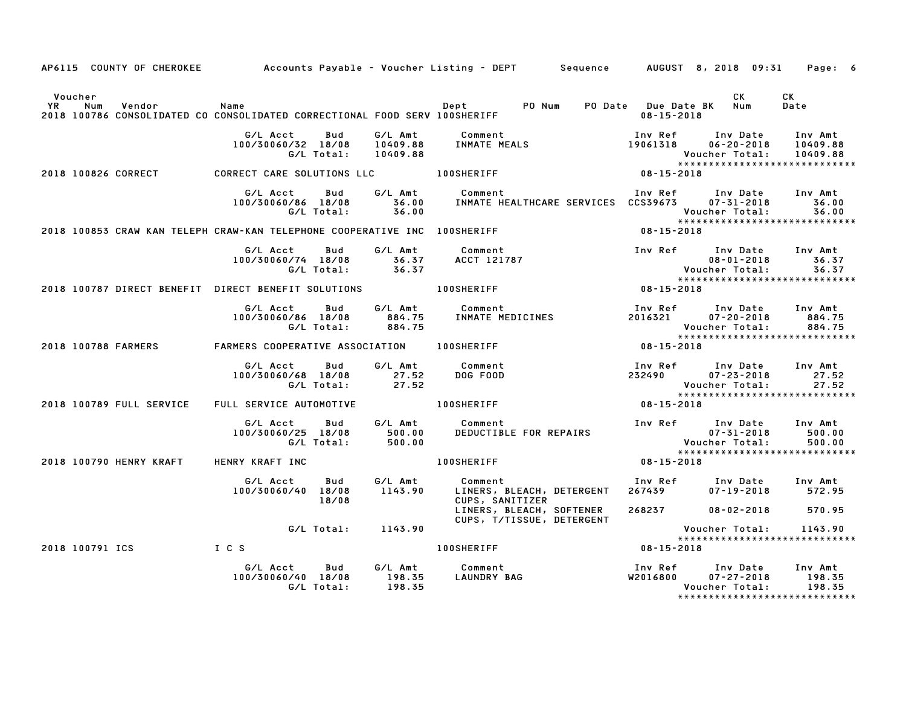|               |                 |                                |                                                                                        |                          |                             | AP6115 COUNTY OF CHEROKEE Accounts Payable - Voucher Listing - DEPT Sequence AUGUST 8, 2018 09:31 Page: 6 |                  |                     |                                                                                                      |                             |
|---------------|-----------------|--------------------------------|----------------------------------------------------------------------------------------|--------------------------|-----------------------------|-----------------------------------------------------------------------------------------------------------|------------------|---------------------|------------------------------------------------------------------------------------------------------|-----------------------------|
| Voucher<br>YR | Num             | Vendor                         | Name<br>2018 100786 CONSOLIDATED CO CONSOLIDATED CORRECTIONAL FOOD SERV 100SHERIFF     |                          |                             |                                                                                                           |                  | $08 - 15 - 2018$    | <b>CK</b>                                                                                            | CK<br>Date                  |
|               |                 |                                | G/L Acct<br>100/30060/32 18/08                                                         | Bud<br>G/L Total:        | 10409.88                    |                                                                                                           |                  |                     | Voucher Total: 10409.88<br>****************************                                              |                             |
|               |                 |                                | 2018 100826 CORRECT CORRECT CARE SOLUTIONS LLC 100SHERIFF                              |                          |                             |                                                                                                           | $08 - 15 - 2018$ |                     |                                                                                                      |                             |
|               |                 |                                | G/L Acct                                                                               |                          |                             | Bud G/L Amt Comment                                                                                       |                  |                     | Inv Ref      Inv Date     Inv Amt                                                                    |                             |
|               |                 |                                | 2018 100853 CRAW KAN TELEPH CRAW-KAN TELEPHONE COOPERATIVE INC 100SHERIFF              |                          |                             |                                                                                                           |                  | $08 - 15 - 2018$    |                                                                                                      |                             |
|               |                 |                                | G/L Acct<br>100/30060/74 18/08                                                         | Bud                      | G/L Total: 36.37            | G/L Amt Comment<br>$36.37$ $\overline{ACCT}$ 121787                                                       |                  |                     | Inv Ref Inv Date Inv Amt<br>$08 - 01 - 2018$<br>Voucher Total: 36.37<br>**************************** | 36.37                       |
|               |                 |                                |                                                                                        |                          |                             | 2018 100787 DIRECT BENEFIT DIRECT BENEFIT SOLUTIONS                          100SHERIFF                   | $08 - 15 - 2018$ |                     |                                                                                                      |                             |
|               |                 |                                | G/L Acct<br>100/30060/86 18/08 884.75                                                  | Bud                      | G/L Total: 884.75           | G/L Amt          Comment<br>884.75     INMATE MEDICINES                                                   |                  |                     | Inv Ref      Inv Date     Inv Amt<br>2016321        07–20–2018        884.75<br>Voucher Total:       | 884.75<br>884.75            |
|               |                 | 2018 100788 FARMERS            | FARMERS COOPERATIVE ASSOCIATION 100SHERIFF                                             |                          |                             |                                                                                                           |                  | $08 - 15 - 2018$    |                                                                                                      |                             |
|               |                 |                                | G/L Acct Bud<br>100/30060/68 18/08 27.52<br>G/L Total: 27.52                           |                          |                             | G/L Amt Comment<br>DOG FOOD                                                                               |                  |                     | Inv Ref Inv Date Inv Amt<br>$232490$ $07 - 23 - 2018$<br>Voucher Total:                              | 27.52<br>27.52              |
|               |                 |                                | 2018 100789 FULL SERVICE FULL SERVICE AUTOMOTIVE THE LOOSHERIFF                        |                          |                             |                                                                                                           |                  | 08-15-2018          |                                                                                                      |                             |
|               |                 |                                | G/L Acct        Bud          G/L Amt<br>100/30060/25 18/08 500.00<br>G/L Total: 500.00 |                          |                             | Comment<br>DEDUCTIBLE FOR REPAIRS                                                                         |                  |                     | Inv Ref      Inv Date     Inv Amt                                                                    |                             |
|               |                 | <b>2018 100790 HENRY KRAFT</b> | HENRY KRAFT INC                                                                        |                          |                             | 100SHERIFF                                                                                                |                  | $08 - 15 - 2018$    |                                                                                                      |                             |
|               |                 |                                | G/L Acct<br>100/30060/40 18/08                                                         | Bud<br>18/08             | 1143.90                     | G/L Amt Comment<br>LINERS, BLEACH, DETERGENT 267439<br>CUPS, SANITIZER                                    |                  |                     | Inv Ref Inv Date Inv Amt<br>$07 - 19 - 2018$ 572.95                                                  |                             |
|               |                 |                                |                                                                                        |                          |                             | LINERS, BLEACH, SOFTENER<br>CUPS, T/TISSUE, DETERGENT                                                     |                  |                     | 268237 08-02-2018 570.95                                                                             |                             |
|               |                 |                                |                                                                                        |                          | G/L Total: 1143.90          |                                                                                                           |                  |                     | Voucher Total:<br>*****************************                                                      | 1143.90                     |
|               | 2018 100791 ICS | I C S                          |                                                                                        |                          |                             | <b>100SHERIFF</b>                                                                                         |                  | $08 - 15 - 2018$    |                                                                                                      |                             |
|               |                 |                                | G/L Acct<br>100/30060/40 18/08                                                         | <b>Bud</b><br>G/L Total: | G/L Amt<br>198.35<br>198.35 | Comment<br><b>LAUNDRY BAG</b>                                                                             |                  | Inv Ref<br>W2016800 | Inv Date<br>$07 - 27 - 2018$<br>Voucher Total:<br>*****************************                      | Inv Amt<br>198.35<br>198.35 |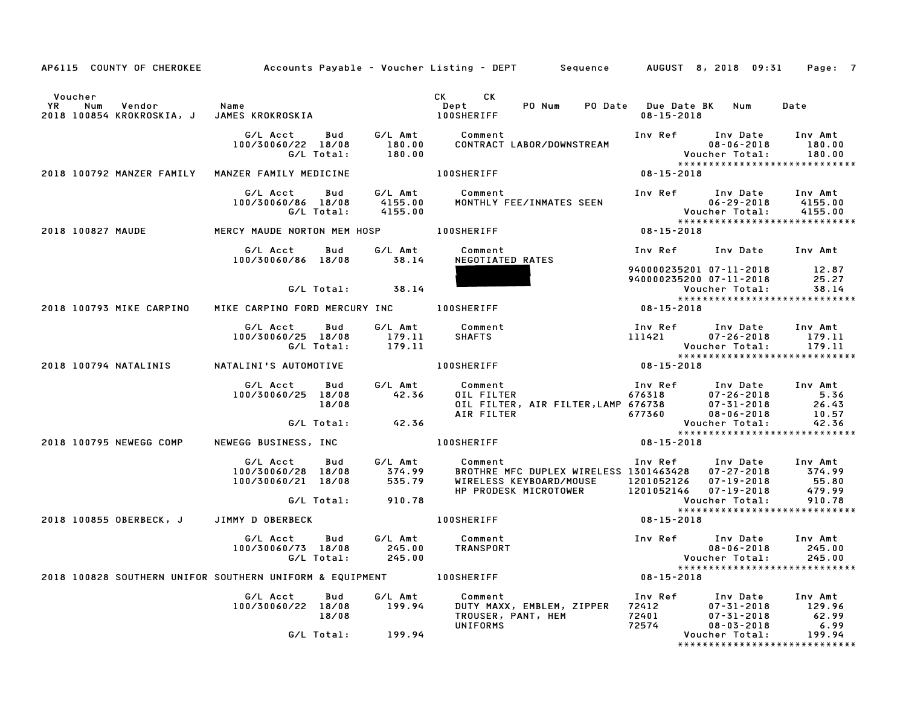|                                                                                                                       |                                                                               |                    | AP6115 COUNTY OF CHEROKEE Accounts Payable - Voucher Listing - DEPT Sequence AUGUST 8, 2018 09:31 Page: 7                                                                                                                 |                                                          |                                                                      |                                                       |
|-----------------------------------------------------------------------------------------------------------------------|-------------------------------------------------------------------------------|--------------------|---------------------------------------------------------------------------------------------------------------------------------------------------------------------------------------------------------------------------|----------------------------------------------------------|----------------------------------------------------------------------|-------------------------------------------------------|
| Voucher<br>Num Vendor Name<br>YR Num Vendor – Name<br>2018–100854 KROKROSKIA, J JAMES KROKROSKIA – – – – – 100SHERIFF |                                                                               |                    | CK CK<br>PO Num                                                                                                                                                                                                           | PO Date Due Date BK Num<br>$08 - 15 - 2018$              |                                                                      | Date                                                  |
|                                                                                                                       | G/L Acct   Bud<br>100/30060/22 18/08<br>G/L Total:                            |                    |                                                                                                                                                                                                                           |                                                          |                                                                      |                                                       |
| 2018 100792 MANZER FAMILY                                                                                             | MANZER FAMILY MEDICINE                                                        |                    | <b>100SHERIFF</b>                                                                                                                                                                                                         | $08 - 15 - 2018$                                         |                                                                      |                                                       |
|                                                                                                                       | G/L Acct<br>Bud<br>100/30060/86 18/08<br>G/L Total:                           | 4155.00<br>4155.00 | G/L Amt Comment                                                                                                                                                                                                           |                                                          |                                                                      |                                                       |
| 2018 100827 MAUDE                                                                                                     | MERCY MAUDE NORTON MEM HOSP 100SHERIFF                                        |                    |                                                                                                                                                                                                                           | $08 - 15 - 2018$                                         |                                                                      |                                                       |
|                                                                                                                       | G/L Acct<br>100/30060/86 18/08 38.14                                          |                    | Bud G/L Amt Comment<br>NEGOTIATED RATES                                                                                                                                                                                   | Inv Ref      Inv Date     Inv Amt                        |                                                                      |                                                       |
|                                                                                                                       | $G/L$ Total: $38.14$                                                          |                    |                                                                                                                                                                                                                           | 940000235201 07-11-2018 12.87<br>940000235200 07-11-2018 | Voucher Total:                                                       | 25.27<br>38.14                                        |
| 2018 100793 MIKE CARPINO                                                                                              | MIKE CARPINO FORD MERCURY INC 100SHERIFF                                      |                    |                                                                                                                                                                                                                           | $08 - 15 - 2018$                                         |                                                                      |                                                       |
|                                                                                                                       | G/L Acct Bud<br>100/30060/25 18/08<br>G/L Total:                              | 179.11<br>179.11   | G/L Amt Comment<br><b>SHAFTS</b>                                                                                                                                                                                          | Inv Ref Inv Date Inv Amt<br>$111421$ $07 - 26 - 2018$    | Voucher Total:                                                       | 179.11<br>179.11<br>*****************************     |
| 2018 100794 NATALINIS                                                                                                 | NATALINI'S AUTOMOTIVE                                                         |                    | 100SHERIFF <b>All Act 2013</b>                                                                                                                                                                                            | $08 - 15 - 2018$                                         |                                                                      |                                                       |
|                                                                                                                       | G/L Acct<br>Bud<br>100/30060/25 18/08<br>18/08                                | 42.36              | G/L Amt Comment<br>0011 FILTER 110 Comment<br>110 DIL FILTER 676318<br>12031 12018 12018 12018 12018<br>12018 12018 12018 12018<br>12018 12018 12018 12018<br>12018 12018 12018 12018<br>26.43<br>26.43<br>26.43<br>26.43 |                                                          |                                                                      |                                                       |
|                                                                                                                       | G/L Total: 42.36                                                              |                    |                                                                                                                                                                                                                           |                                                          |                                                                      | Voucher Total: 42.36<br>***************************** |
| 2018 100795 NEWEGG COMP                                                                                               |                                                                               |                    | NEWEGG BUSINESS, INC 100SHERIFF                                                                                                                                                                                           | $08 - 15 - 2018$                                         |                                                                      |                                                       |
|                                                                                                                       | G/L Acct Bud<br>100/30060/28 18/08<br>100/30060/21 18/08<br>G/L Total: 910.78 | 374.99<br>535.79   | G/L Amt Comment<br>WIRELESS KEYBOARD/MOUSE 1201052126 07-19-2018<br>HP PRODESK MICROTOWER 1201052146 07-19-2018                                                                                                           |                                                          |                                                                      | 55.80<br>479.99                                       |
| 2018 100855 OBERBECK, J JIMMY D OBERBECK                                                                              |                                                                               |                    | 100SHERIFF                                                                                                                                                                                                                | $08 - 15 - 2018$                                         |                                                                      |                                                       |
|                                                                                                                       | G/L Acct<br>100/30060/73 18/08<br>G/L Total: 245.00                           |                    | Bud G/L Amt Comment<br>245.00 TRANSPORT                                                                                                                                                                                   | Inv Ref      Inv Date                                    | $08 - 06 - 2018$<br>Voucher Total: 245.00                            | Inv Amt<br>245.00<br>*****************************    |
| 2018 100828 SOUTHERN UNIFOR SOUTHERN UNIFORM & EQUIPMENT                                                              |                                                                               |                    | <b>100SHERIFF</b>                                                                                                                                                                                                         | $08 - 15 - 2018$                                         |                                                                      |                                                       |
|                                                                                                                       | G/L Acct<br>Bud<br>100/30060/22 18/08<br>18/08                                | G/L Amt<br>199.94  | Comment<br>DUTY MAXX, EMBLEM, ZIPPER<br>TROUSER, PANT, HEM<br><b>UNIFORMS</b>                                                                                                                                             | Inv Ref<br>72412<br>72401<br>72574                       | Inv Date<br>$07 - 31 - 2018$<br>$07 - 31 - 2018$<br>$08 - 03 - 2018$ | Inv Amt<br>129.96<br>62.99<br>6.99                    |
|                                                                                                                       | G/L Total:                                                                    | 199.94             |                                                                                                                                                                                                                           |                                                          | Voucher Total:                                                       | 199.94<br>*****************************               |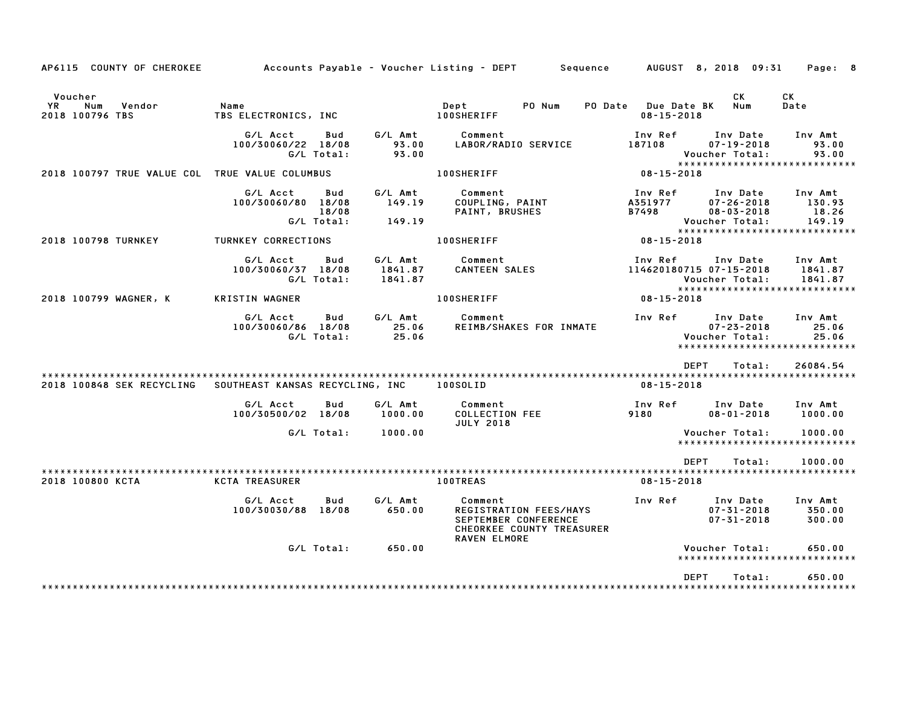| AP6115 COUNTY OF CHEROKEE                                |                                              |                                             | Accounts Payable – Voucher Listing – DEPT         Sequence                                             | AUGUST 8, 2018 09:31                    |                                                                    | Page: 8                                                        |
|----------------------------------------------------------|----------------------------------------------|---------------------------------------------|--------------------------------------------------------------------------------------------------------|-----------------------------------------|--------------------------------------------------------------------|----------------------------------------------------------------|
| Voucher<br><b>YR</b><br>Num<br>Vendor<br>2018 100796 TBS | Name<br>TBS ELECTRONICS, INC                 |                                             | Dept<br>PO Num<br><b>100SHERIFF</b>                                                                    | PO Date Due Date BK<br>$08 - 15 - 2018$ | CK<br>Num                                                          | CK<br>Date                                                     |
|                                                          | G/L Acct<br>100/30060/22 18/08<br>G/L Total: | G/L Amt<br>Bud<br>93.00<br>93.00            | Comment<br>LABOR/RADIO SERVICE                                                                         | Inv Ref<br>187108                       | Inv Date<br>$07 - 19 - 2018$<br>Voucher Total:                     | Inv Amt<br>93.00<br>93.00<br>*****************************     |
| 2018 100797 TRUE VALUE COL TRUE VALUE COLUMBUS           |                                              |                                             | <b>100SHERIFF</b>                                                                                      | $08 - 15 - 2018$                        |                                                                    |                                                                |
|                                                          | G/L Acct<br>100/30060/80 18/08<br>G/L Total: | Bud<br>G/L Amt<br>149.19<br>18/08<br>149.19 | Comment<br>COUPLING, PAINT<br><b>PAINT, BRUSHES</b>                                                    | Inv Ref<br>A351977<br>B7498             | Inv Date<br>$07 - 26 - 2018$<br>$08 - 03 - 2018$<br>Voucher Total: | Inv Amt<br>130.93<br>18.26<br>149.19                           |
| 2018 100798 TURNKEY                                      | TURNKEY CORRECTIONS                          |                                             | <b>100SHERIFF</b>                                                                                      | $08 - 15 - 2018$                        |                                                                    | ******************************                                 |
|                                                          | G/L Acct<br>100/30060/37 18/08<br>G/L Total: | G/L Amt<br>Bud<br>1841.87<br>1841.87        | Comment<br><b>CANTEEN SALES</b>                                                                        | Inv Ref<br>114620180715 07-15-2018      | Inv Date<br>Voucher Total:                                         | Inv Amt<br>1841.87<br>1841.87<br>***************************** |
| 2018 100799 WAGNER, K                                    | <b>KRISTIN WAGNER</b>                        |                                             | <b>100SHERIFF</b>                                                                                      | 08-15-2018                              |                                                                    |                                                                |
|                                                          | G/L Acct<br>100/30060/86 18/08<br>G/L Total: | G/L Amt<br>Bud<br>25.06<br>25.06            | Comment<br>REIMB/SHAKES FOR INMATE                                                                     | Inv Ref                                 | Inv Date<br>$07 - 23 - 2018$<br>Voucher Total:                     | Inv Amt<br>25.06<br>25.06<br>*****************************     |
|                                                          |                                              |                                             |                                                                                                        | <b>DEPT</b>                             | Total:                                                             | 26084.54                                                       |
| 2018 100848 SEK RECYCLING                                | SOUTHEAST KANSAS RECYCLING, INC              |                                             | 100SOLID                                                                                               | $08 - 15 - 2018$                        |                                                                    |                                                                |
|                                                          | G/L Acct<br>100/30500/02 18/08               | G/L Amt<br>Bud<br>1000.00                   | Comment<br><b>COLLECTION FEE</b><br><b>JULY 2018</b>                                                   | Inv Ref<br>9180                         | Inv Date<br>$08 - 01 - 2018$                                       | Inv Amt<br>1000.00                                             |
|                                                          | G/L Total:                                   | 1000.00                                     |                                                                                                        |                                         | Voucher Total:                                                     | 1000.00<br>*****************************                       |
|                                                          |                                              |                                             |                                                                                                        | <b>DEPT</b>                             | Total:                                                             | 1000.00                                                        |
| 2018 100800 KCTA                                         | <b>KCTA TREASURER</b>                        |                                             | <b>100TREAS</b>                                                                                        | $08 - 15 - 2018$                        |                                                                    |                                                                |
|                                                          | G/L Acct<br>100/30030/88 18/08               | G/L Amt<br>Bud<br>650.00                    | Comment<br>REGISTRATION FEES/HAYS<br>SEPTEMBER CONFERENCE<br>CHEORKEE COUNTY TREASURER<br>RAVEN ELMORE | Inv Ref                                 | Inv Date<br>$07 - 31 - 2018$<br>$07 - 31 - 2018$                   | Inv Amt<br>350.00<br>300.00                                    |
|                                                          | G/L Total:                                   | 650.00                                      |                                                                                                        |                                         | Voucher Total:                                                     | 650.00<br>*****************************                        |
|                                                          |                                              |                                             |                                                                                                        | <b>DEPT</b>                             | Total:                                                             | 650.00                                                         |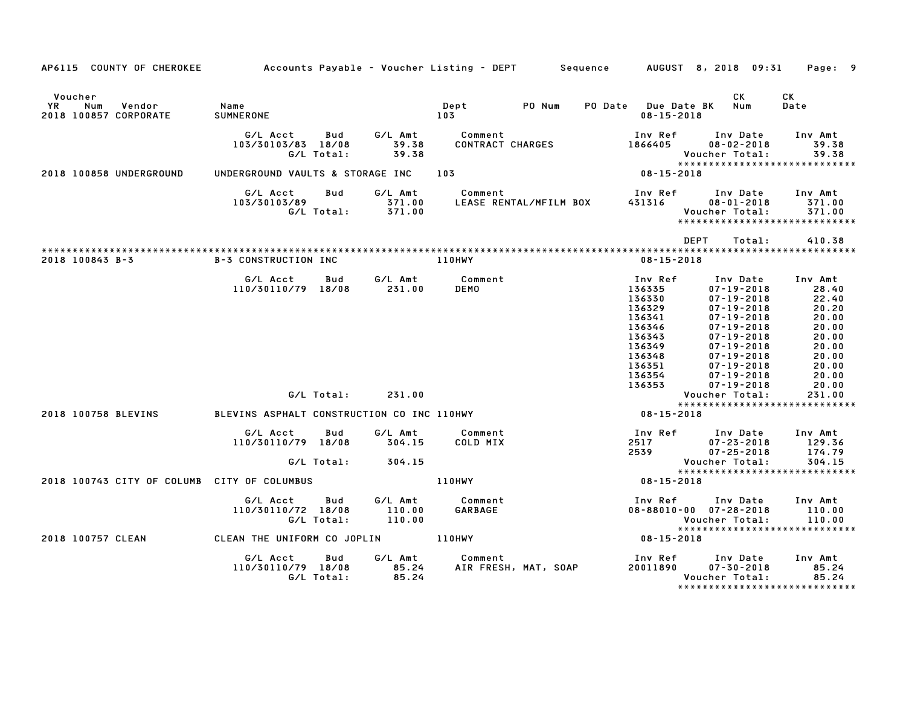| AP6115 COUNTY OF CHEROKEE                               | Accounts Payable – Voucher Listing – DEPT        Sequence                                                                                         |                                                                   |                                               |                        |                                                                                                                                                                      | AUGUST 8, 2018 09:31                                                                                                                                                                                                                                                                                                                                                 | Page: 9                                                                                                                                                       |
|---------------------------------------------------------|---------------------------------------------------------------------------------------------------------------------------------------------------|-------------------------------------------------------------------|-----------------------------------------------|------------------------|----------------------------------------------------------------------------------------------------------------------------------------------------------------------|----------------------------------------------------------------------------------------------------------------------------------------------------------------------------------------------------------------------------------------------------------------------------------------------------------------------------------------------------------------------|---------------------------------------------------------------------------------------------------------------------------------------------------------------|
| Voucher<br>Vendor<br>YR<br>Num<br>2018 100857 CORPORATE | Name<br>SUMNERONE                                                                                                                                 |                                                                   | Dept<br>103                                   | PO Num                 | PO Date Due Date BK<br>$08 - 15 - 2018$                                                                                                                              | CK<br>Num                                                                                                                                                                                                                                                                                                                                                            | CK<br>Date                                                                                                                                                    |
|                                                         | G/L Acct<br>Bud<br>103/30103/83 18/08<br>G/L Total:                                                                                               | G/L Amt<br>39.38<br>39.38                                         | Comment<br>CONTRACT CHARGES                   |                        | Inv Ref<br>1866405                                                                                                                                                   | Inv Date<br>$08 - 02 - 2018$<br>Voucher Total:<br>*****************************                                                                                                                                                                                                                                                                                      | Inv Amt<br>39.38<br>39.38                                                                                                                                     |
| 2018 100858 UNDERGROUND                                 | UNDERGROUND VAULTS & STORAGE INC                                                                                                                  |                                                                   | 103                                           |                        | 08-15-2018                                                                                                                                                           |                                                                                                                                                                                                                                                                                                                                                                      |                                                                                                                                                               |
|                                                         | G/L Acct<br>Bud<br>103/30103/89                                                                                                                   | G/L Amt<br>371.00<br>G/L Total: 371.00                            | Comment                                       | LEASE RENTAL/MFILM BOX | Inv Ref<br>431316                                                                                                                                                    | Inv Date<br>$08 - 01 - 2018$<br>Voucher Total:<br>*****************************                                                                                                                                                                                                                                                                                      | Inv Amt<br>371.00<br>371.00                                                                                                                                   |
|                                                         |                                                                                                                                                   |                                                                   |                                               |                        |                                                                                                                                                                      | DEPT<br>Total:                                                                                                                                                                                                                                                                                                                                                       | 410.38                                                                                                                                                        |
| 2018 100843 B-3                                         | <b>B-3 CONSTRUCTION INC</b>                                                                                                                       |                                                                   | <b>110HWY</b>                                 |                        | $08 - 15 - 2018$                                                                                                                                                     |                                                                                                                                                                                                                                                                                                                                                                      |                                                                                                                                                               |
| 2018 100758 BLEVINS                                     | G/L Acct<br>110/30110/79 18/08<br>G/L Total:<br>BLEVINS ASPHALT CONSTRUCTION CO INC 110HWY<br>G/L Acct<br>Bud<br>110/30110/79 18/08<br>G/L Total: | G/L Amt<br>Bud<br>231.00<br>231.00<br>G/L Amt<br>304.15<br>304.15 | Comment<br><b>DEMO</b><br>Comment<br>COLD MIX |                        | Inv Ref<br>136335<br>136330<br>136329<br>136341<br>136346<br>136343<br>136349<br>136348<br>136351<br>136354<br>136353<br>$08 - 15 - 2018$<br>Inv Ref<br>2517<br>2539 | Inv Date<br>$07 - 19 - 2018$<br>$07 - 19 - 2018$<br>$07 - 19 - 2018$<br>$07 - 19 - 2018$<br>$07 - 19 - 2018$<br>$07 - 19 - 2018$<br>$07 - 19 - 2018$<br>$07 - 19 - 2018$<br>$07 - 19 - 2018$<br>$07 - 19 - 2018$<br>$07 - 19 - 2018$<br>Voucher Total:<br>*****************************<br>Inv Date<br>$07 - 23 - 2018$<br>$07 - 25 - 2018$<br><b>Voucher Total:</b> | Inv Amt<br>28.40<br>22.40<br>20.20<br>20.00<br>20.00<br>20.00<br>20.00<br>20.00<br>20.00<br>20.00<br>20.00<br>231.00<br>Inv Amt<br>129.36<br>174.79<br>304.15 |
| 2018 100743 CITY OF COLUMB CITY OF COLUMBUS             |                                                                                                                                                   |                                                                   | 110HWY                                        |                        | $08 - 15 - 2018$                                                                                                                                                     | *****************************                                                                                                                                                                                                                                                                                                                                        |                                                                                                                                                               |
|                                                         | Bud<br>G/L Acct<br>110/30110/72 18/08<br>G/L Total:                                                                                               | G/L Amt<br>110.00<br>110.00                                       | Comment<br>GARBAGE                            |                        | Inv Ref                                                                                                                                                              | Inv Date<br>$08 - 88010 - 00$ $07 - 28 - 2018$<br>Voucher Total:<br>*****************************                                                                                                                                                                                                                                                                    | Inv Amt<br>110.00<br>110.00                                                                                                                                   |
| 2018 100757 CLEAN                                       | CLEAN THE UNIFORM CO JOPLIN 110HWY                                                                                                                |                                                                   |                                               |                        | $08 - 15 - 2018$                                                                                                                                                     |                                                                                                                                                                                                                                                                                                                                                                      |                                                                                                                                                               |
|                                                         | G/L Acct<br>Bud<br>110/30110/79 18/08<br>G/L Total:                                                                                               | G/L Amt<br>85.24<br>85.24                                         | Comment<br>AIR FRESH, MAT, SOAP               |                        | Inv Ref<br>20011890                                                                                                                                                  | Inv Date<br>$07 - 30 - 2018$<br>Voucher Total:<br>*******************************                                                                                                                                                                                                                                                                                    | Inv Amt<br>85.24<br>85.24                                                                                                                                     |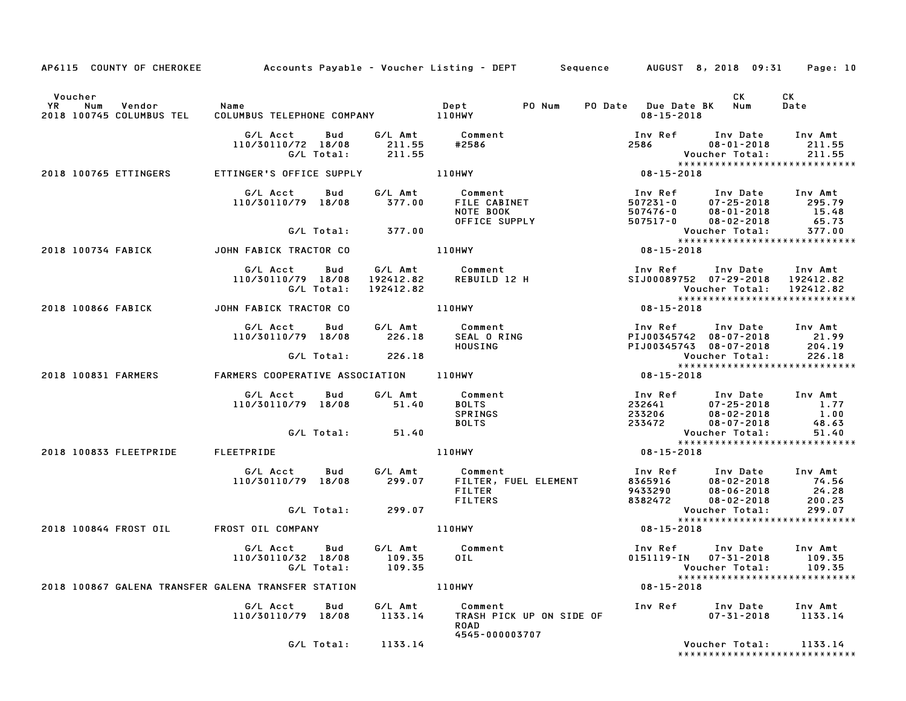|                                                            |                                                                      |           | AP6115 COUNTY OF CHEROKEE Accounts Payable - Voucher Listing - DEPT Sequence AUGUST 8, 2018 09:31                              |                                                                                                                    |                                                                                   | Page: 10                                              |
|------------------------------------------------------------|----------------------------------------------------------------------|-----------|--------------------------------------------------------------------------------------------------------------------------------|--------------------------------------------------------------------------------------------------------------------|-----------------------------------------------------------------------------------|-------------------------------------------------------|
| Voucher<br>Vendor<br>YR<br>Num<br>2018 100745 COLUMBUS TEL | Name<br>COLUMBUS TELEPHONE COMPANY 110HWY                            |           | PO Num<br>Dept                                                                                                                 | PO Date Due Date BK Num<br>08-15-2018                                                                              | CK                                                                                | CK<br>Date                                            |
|                                                            | G/L Acct<br>Bud<br>110/30110/72 18/08 211.55<br>G/L Total: 211.55    |           |                                                                                                                                | Inv Ref Inv Date Inv Amt<br>2586 08-01-2018 211.55<br>Voucher Total: 211.55<br>*******************************     |                                                                                   |                                                       |
| 2018 100765 ETTINGERS                                      | ETTINGER'S OFFICE SUPPLY <b>The CONTROL CONTROL</b>                  |           |                                                                                                                                | $08 - 15 - 2018$                                                                                                   |                                                                                   |                                                       |
|                                                            | G/L Acct Bud<br>110/30110/79 18/08                                   | 377.00    | G/L Amt Comment<br><b>COMMENT<br/>FILE CABINET<br/>NOTE BOOK<br/>OFFICE SUPPLY</b><br>COMMETTS<br>FILE CABINET<br>COMMETT DOOK | 1nv Ref 1nv Date 1nv Amt<br>507231-0 07-25-2018 295.79<br>507476-0 08-01-2018 15.48<br>507517-0 08-02-2018 65.73   |                                                                                   |                                                       |
|                                                            | G/L Total: 377.00                                                    |           |                                                                                                                                | Voucher Total: 377.00<br>****************************                                                              |                                                                                   | 377.00                                                |
| 2018 100734 FABICK JOHN FABICK TRACTOR CO                  |                                                                      |           | 110HWY                                                                                                                         | $08 - 15 - 2018$                                                                                                   |                                                                                   |                                                       |
|                                                            | G/L Total:                                                           | 192412.82 | G/L Acct         Bud           G/L Amt               Comment<br>110/30110/79    18/08      192412.82         REBUILD  12  H    | Inv Ref Inv Date<br>Voucher Total: 192412.82<br>****************************                                       | SIJ00089752 07-29-2018 192412.82                                                  | Inv Amt                                               |
| 2018 100866 FABICK <b>STARF STARF STARF</b> CO             |                                                                      |           | 110HWY                                                                                                                         | $08 - 15 - 2018$                                                                                                   |                                                                                   |                                                       |
|                                                            |                                                                      |           | G/L Acct Bud G/L Amt Comment<br>110/30110/79 18/08 226.18 SEAL O RING<br>226.18 HOUSING                                        | Inv Ref Inv Date Inv Amt<br>PIJ00345742 08-07-2018 21.99<br>PIJ00345743 08-07-2018 204.19<br>Voucher Total: 226.18 |                                                                                   |                                                       |
|                                                            | G/L Total: 226.18                                                    |           |                                                                                                                                |                                                                                                                    | *****************************                                                     |                                                       |
| 2018 100831 FARMERS                                        | FARMERS COOPERATIVE ASSOCIATION 110HWY                               |           |                                                                                                                                | $08 - 15 - 2018$                                                                                                   |                                                                                   |                                                       |
|                                                            |                                                                      |           | SPRINGS<br><b>BOLTS</b>                                                                                                        | 1nv Ref 1nv Date 1nv Amt<br>232641 07–25–2018 1.77<br>233206 08–02–2018 1.00<br>233472 08–07–2018 48.63            |                                                                                   |                                                       |
|                                                            | G/L Total: 51.40                                                     |           |                                                                                                                                | Voucher Total: 51.40<br>****************************                                                               |                                                                                   |                                                       |
| 2018 100833 FLEETPRIDE FLEETPRIDE                          |                                                                      |           | <b>110HWY</b>                                                                                                                  | $08 - 15 - 2018$                                                                                                   |                                                                                   |                                                       |
|                                                            | G/L Acct Bud G/L Amt Comment<br>110/30110/79 18/08 299.07 FILTER, FI |           | Comment<br>FILTER, FUEL ELEMENT<br>FILTER<br><b>FILTERS</b>                                                                    | 1nv Ref 1nv Date 1nv Amt<br>8365916 08–02–2018 74.56<br>9433290 08–06–2018 24.28<br>8382472 08–02–2018 200.23      |                                                                                   |                                                       |
|                                                            | G/L Total: 299.07                                                    |           |                                                                                                                                |                                                                                                                    | Voucher Total:                                                                    | 299.07                                                |
| 2018 100844 FROST OIL FROST OIL COMPANY                    |                                                                      |           | 110HWY                                                                                                                         | 08-15-2018                                                                                                         | ******************************                                                    |                                                       |
|                                                            | G/L Acct Bud<br>110/30110/32 18/08 109.35<br>G/L Total: 109.35       |           | G/L Amt Comment<br>OIL <b>DEL</b>                                                                                              |                                                                                                                    | Inv Ref Inv Date Inv Amt<br>0151119-IN 07-31-2018 109.35<br>Voucher Total: 109.35 | Voucher Total: 109.35<br>**************************** |
| 2018 100867 GALENA TRANSFER GALENA TRANSFER STATION 110HWY |                                                                      |           |                                                                                                                                | $08 - 15 - 2018$                                                                                                   |                                                                                   |                                                       |
|                                                            | G/L Acct  Bud  G/L Amt<br>110/30110/79  18/08  1133.14               |           | Comment<br><b>ROAD</b><br>4545-000003707                                                                                       |                                                                                                                    |                                                                                   |                                                       |
|                                                            | G/L Total: 1133.14                                                   |           |                                                                                                                                |                                                                                                                    | Voucher Total:<br>*****************************                                   | 1133.14                                               |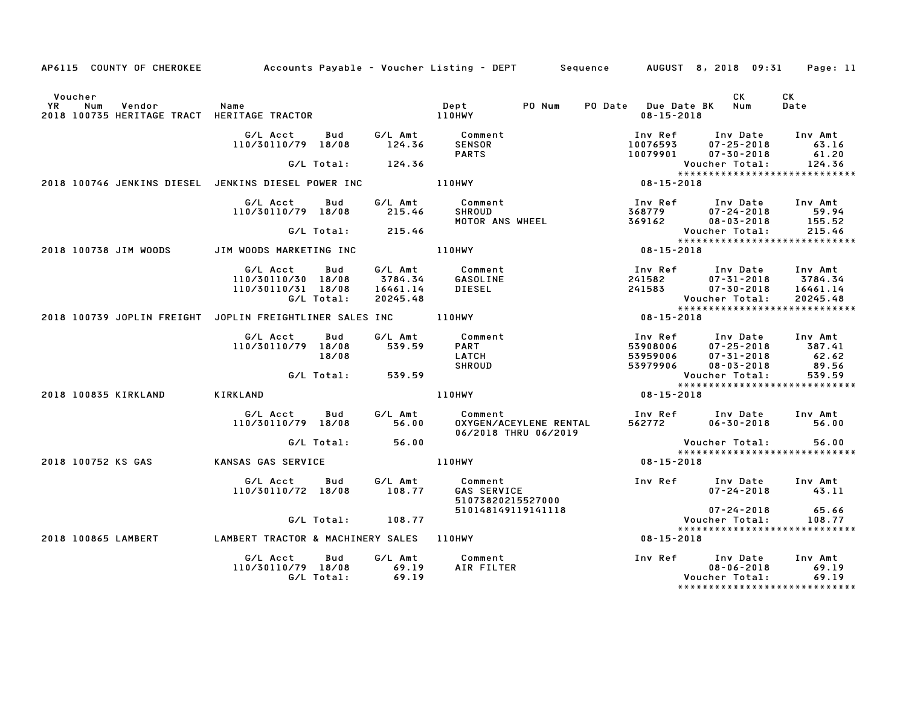| AP6115 COUNTY OF CHEROKEE Accounts Payable - Voucher Listing - DEPT Sequence AUGUST 8, 2018 09:31 |                                                                                                                                               |                                      |                                                                  |                                                                           |                                                                                                                                                                                     | Page: 11                                 |
|---------------------------------------------------------------------------------------------------|-----------------------------------------------------------------------------------------------------------------------------------------------|--------------------------------------|------------------------------------------------------------------|---------------------------------------------------------------------------|-------------------------------------------------------------------------------------------------------------------------------------------------------------------------------------|------------------------------------------|
| Voucher                                                                                           |                                                                                                                                               |                                      | PO Num                                                           |                                                                           | CK<br>PO Date Due Date BK Num<br>08-15-2018                                                                                                                                         | <b>CK</b><br>Date                        |
|                                                                                                   | G/L Acct Bud<br>110/30110/79 18/08                                                                                                            |                                      | G/L Amt          Comment<br>124.36        SENSOR<br><b>PARTS</b> |                                                                           | Inv Ref       Inv Date     Inv Amt<br>10076593       07–25–2018          63.16                                                                                                      |                                          |
| 2018 100746 JENKINS DIESEL JENKINS DIESEL POWER INC <b>110HWY</b>                                 |                                                                                                                                               | G/L Total: 124.36                    |                                                                  |                                                                           | 10079901 07-30-2018 61.20<br>Voucher Total: 124.36<br>*********************************                                                                                             |                                          |
|                                                                                                   |                                                                                                                                               |                                      |                                                                  |                                                                           |                                                                                                                                                                                     |                                          |
|                                                                                                   | G/L Acct Bud<br>110/30110/79 18/08                                                                                                            | 215.46                               | G/L Amt Comment<br>SHROUD<br>MOTOR ANS WHEEL                     |                                                                           | 1nv Ref        Inv Date      Inv Amt<br>368779           07–24–2018            59.94<br>369162           08–03–2018         155.52                                                  |                                          |
|                                                                                                   |                                                                                                                                               | G/L Total: 215.46                    |                                                                  |                                                                           |                                                                                                                                                                                     | 215.46                                   |
|                                                                                                   |                                                                                                                                               |                                      |                                                                  |                                                                           | ******************************                                                                                                                                                      |                                          |
| 2018 100738 JIM WOODS JIM WOODS MARKETING INC TILOHWY                                             |                                                                                                                                               |                                      |                                                                  | $08 - 15 - 2018$                                                          |                                                                                                                                                                                     |                                          |
|                                                                                                   | G/L Acct Bud G/L Amt Comment<br>110/30110/30 18/08 3784.34 GASOLINE<br>110/30110/30 18/08<br>110/30110/31 18/08 16461.14 DIESEL<br>G/L Total: | 20245.48                             |                                                                  |                                                                           | 1nv Ref       Inv Date     Inv Amt<br>241582          07–31–2018      3784.34<br>241583          07–30–2018     16461.14<br>Voucher Total: 20245.48<br>**************************** |                                          |
|                                                                                                   |                                                                                                                                               |                                      |                                                                  |                                                                           |                                                                                                                                                                                     |                                          |
| 2018 100739 JOPLIN FREIGHT JOPLIN FREIGHTLINER SALES INC _______________________                  |                                                                                                                                               |                                      |                                                                  | $08 - 15 - 2018$                                                          |                                                                                                                                                                                     |                                          |
|                                                                                                   | G/L Acct Bud<br>110/30110/79 18/08<br>18/08                                                                                                   | 539.59                               | G/L Amt Comment<br><b>PART</b><br>LATCH<br><b>SHROUD</b>         |                                                                           | Inv Ref Inv Date Inv Amt<br>111V Net<br>5390806 07-25-2018 387.41<br>53959006 07-31-2018 62.62<br>53979906 08-03-2018 89.56<br>Voucher Total: 539.59                                |                                          |
|                                                                                                   |                                                                                                                                               | G/L Total: 539.59                    |                                                                  |                                                                           | Voucher Total: 539.59<br>******************************                                                                                                                             |                                          |
|                                                                                                   |                                                                                                                                               |                                      |                                                                  |                                                                           |                                                                                                                                                                                     |                                          |
| 2018 100835 KIRKLAND                                                                              | <b>KIRKLAND</b>                                                                                                                               |                                      | 110HWY                                                           |                                                                           | 08-15-2018                                                                                                                                                                          |                                          |
|                                                                                                   |                                                                                                                                               |                                      | G/L Amt Comment<br>06/2018 THRU 06/2019                          |                                                                           | Inv Ref Inv Date Inv Amt<br>562772 06-30-2018 56.00                                                                                                                                 |                                          |
|                                                                                                   |                                                                                                                                               | G/L Total: 56.00                     |                                                                  |                                                                           | Voucher Total:                                                                                                                                                                      | 56.00                                    |
|                                                                                                   |                                                                                                                                               |                                      |                                                                  |                                                                           |                                                                                                                                                                                     | *****************************            |
| 2018 100752 KS GAS KANSAS GAS SERVICE                                                             |                                                                                                                                               | 110HWY                               |                                                                  |                                                                           | $08 - 15 - 2018$                                                                                                                                                                    |                                          |
|                                                                                                   | G/L Acct Bud G/L Amt Comment<br>110/30110/72 18/08 108.77                                                                                     |                                      |                                                                  | WY<br>Comment<br>GAS SERVICE<br>51073820215527000<br>2119141118<br>2215-2 | Inv Ref Inv Date Inv Amt                                                                                                                                                            | $07 - 24 - 2018$ 43.11                   |
|                                                                                                   |                                                                                                                                               |                                      |                                                                  |                                                                           |                                                                                                                                                                                     | 07-24-2018 65.66<br>oucher Total: 108.77 |
|                                                                                                   |                                                                                                                                               | G/L Total: 108.77                    |                                                                  |                                                                           | Voucher Total:                                                                                                                                                                      | ******************************           |
| 2018 100865 LAMBERT                                                                               | LAMBERT TRACTOR & MACHINERY SALES 110HWY                                                                                                      |                                      |                                                                  |                                                                           | $08 - 15 - 2018$                                                                                                                                                                    |                                          |
|                                                                                                   | G/L Acct<br>110/30110/79 18/08<br>G/L Total:                                                                                                  | G/L Amt<br>Bud<br>$69.19$<br>$69.19$ | Comment<br>AIR FILTER                                            |                                                                           | Voucher Total:                                                                                                                                                                      | 69.19                                    |

\*\*\*\*\*\*\*\*\*\*\*\*\*\*\*\*\*\*\*\*\*\*\*\*\*\*\*\*\*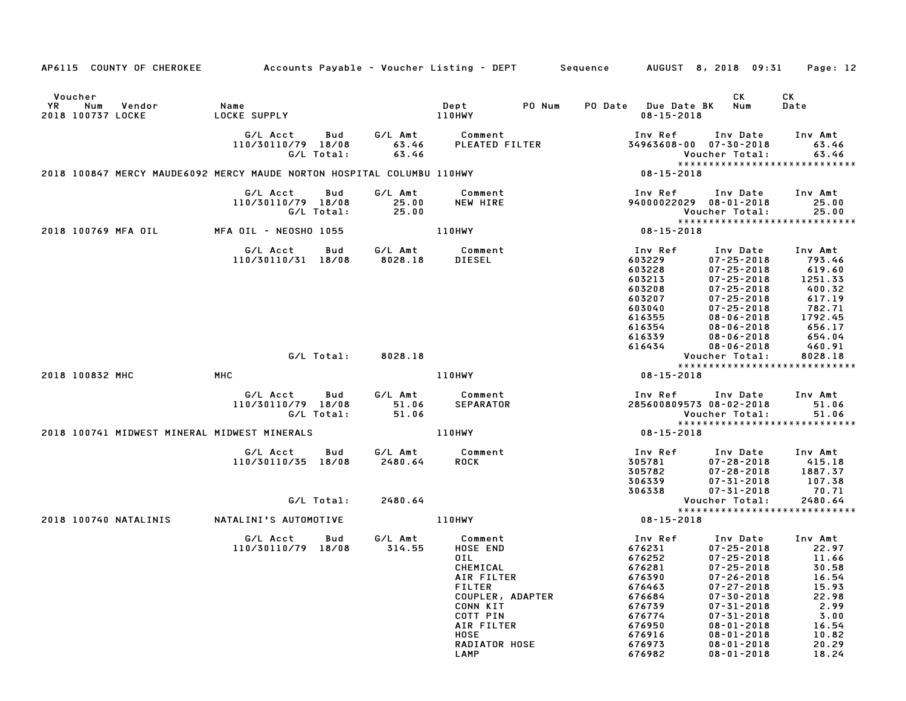| AP6115 COUNTY OF CHEROKEE                                              | Accounts Payable – Voucher Listing – DEPT         Sequence |                                      |                                                                                                                                                                           |        |                                                                                                                                 | AUGUST 8, 2018 09:31                                                                                                                                                                                                                               | Page: 12                                                                                                          |
|------------------------------------------------------------------------|------------------------------------------------------------|--------------------------------------|---------------------------------------------------------------------------------------------------------------------------------------------------------------------------|--------|---------------------------------------------------------------------------------------------------------------------------------|----------------------------------------------------------------------------------------------------------------------------------------------------------------------------------------------------------------------------------------------------|-------------------------------------------------------------------------------------------------------------------|
| Voucher<br>YR<br>Num<br>Vendor<br>2018 100737 LOCKE                    | Name<br>LOCKE SUPPLY                                       |                                      | Dept<br>110HWY                                                                                                                                                            | PO Num | PO Date Due Date BK<br>$08 - 15 - 2018$                                                                                         | CK<br>Num                                                                                                                                                                                                                                          | СK<br>Date                                                                                                        |
|                                                                        | G/L Acct<br>110/30110/79 18/08<br>G/L Total:               | Bud<br>G/L Amt<br>63.46<br>63.46     | Comment<br>PLEATED FILTER                                                                                                                                                 |        | Inv Ref<br>34963608-00 07-30-2018                                                                                               | Inv Date<br>Voucher Total:                                                                                                                                                                                                                         | Inv Amt<br>63.46<br>63.46<br>*****************************                                                        |
| 2018 100847 MERCY MAUDE6092 MERCY MAUDE NORTON HOSPITAL COLUMBU 110HWY |                                                            |                                      |                                                                                                                                                                           |        | 08-15-2018                                                                                                                      |                                                                                                                                                                                                                                                    |                                                                                                                   |
|                                                                        | G/L Acct<br>110/30110/79 18/08<br>G/L Total:               | Bud<br>G/L Amt<br>25.00<br>25.00     | Comment<br>NEW HIRE                                                                                                                                                       |        | Inv Ref<br>94000022029 08-01-2018                                                                                               | Inv Date<br>Voucher Total:                                                                                                                                                                                                                         | Inv Amt<br>25.00<br>25.00<br>*****************************                                                        |
| 2018 100769 MFA OIL                                                    | MFA OIL – NEOSHO 1055                                      |                                      | 110HWY                                                                                                                                                                    |        | 08-15-2018                                                                                                                      |                                                                                                                                                                                                                                                    |                                                                                                                   |
|                                                                        | G/L Acct<br>110/30110/31 18/08                             | G/L Amt<br>Bud<br>8028.18            | Comment<br>DIESEL                                                                                                                                                         |        | Inv Ref<br>603229<br>603228<br>603213<br>603208<br>603207<br>603040<br>616355<br>616354<br>616339<br>616434                     | Inv Date<br>$07 - 25 - 2018$<br>$07 - 25 - 2018$<br>$07 - 25 - 2018$<br>$07 - 25 - 2018$<br>$07 - 25 - 2018$<br>$07 - 25 - 2018$<br>$08 - 06 - 2018$<br>$08 - 06 - 2018$<br>$08 - 06 - 2018$<br>$08 - 06 - 2018$                                   | Inv Amt<br>793.46<br>619.60<br>1251.33<br>400.32<br>617.19<br>782.71<br>1792.45<br>656.17<br>654.04<br>460.91     |
|                                                                        | G/L Total:                                                 | 8028.18                              |                                                                                                                                                                           |        |                                                                                                                                 | Voucher Total:                                                                                                                                                                                                                                     | 8028.18<br>*****************************                                                                          |
| 2018 100832 MHC                                                        | MHC                                                        |                                      | 110HWY                                                                                                                                                                    |        | 08-15-2018                                                                                                                      |                                                                                                                                                                                                                                                    |                                                                                                                   |
|                                                                        | G/L Acct<br>110/30110/79 18/08<br>G/L Total:               | G/L Amt<br>Bud<br>51.06<br>51.06     | Comment<br>SEPARATOR                                                                                                                                                      |        | Inv Ref<br>285600809573 08-02-2018                                                                                              | Inv Date<br>Voucher Total:                                                                                                                                                                                                                         | Inv Amt<br>51.06<br>51.06<br>*****************************                                                        |
| 2018 100741 MIDWEST MINERAL MIDWEST MINERALS                           |                                                            |                                      | 110HWY                                                                                                                                                                    |        | 08-15-2018                                                                                                                      |                                                                                                                                                                                                                                                    |                                                                                                                   |
|                                                                        | G/L Acct<br>110/30110/35 18/08<br>G/L Total:               | G/L Amt<br>Bud<br>2480.64<br>2480.64 | Comment<br><b>ROCK</b>                                                                                                                                                    |        | Inv Ref<br>305781<br>305782<br>306339<br>306338                                                                                 | Inv Date<br>$07 - 28 - 2018$<br>$07 - 28 - 2018$<br>$07 - 31 - 2018$<br>$07 - 31 - 2018$<br>Voucher Total:                                                                                                                                         | Inv Amt<br>415.18<br>1887.37<br>107.38<br>70.71<br>2480.64                                                        |
| 2018 100740 NATALINIS                                                  | NATALINI'S AUTOMOTIVE                                      |                                      | 110HWY                                                                                                                                                                    |        | 08-15-2018                                                                                                                      |                                                                                                                                                                                                                                                    | ******************************                                                                                    |
|                                                                        | G/L Acct<br>110/30110/79 18/08                             | G/L Amt<br>Bud<br>314.55             | Comment<br>HOSE END<br>0 I L<br>CHEMICAL<br>AIR FILTER<br><b>FILTER</b><br>COUPLER, ADAPTER<br>CONN KIT<br>COTT PIN<br>AIR FILTER<br>HOSE<br><b>RADIATOR HOSE</b><br>LAMP |        | Inv Ref<br>676231<br>676252<br>676281<br>676390<br>676463<br>676684<br>676739<br>676774<br>676950<br>676916<br>676973<br>676982 | Inv Date<br>$07 - 25 - 2018$<br>$07 - 25 - 2018$<br>$07 - 25 - 2018$<br>07-26-2018<br>$07 - 27 - 2018$<br>$07 - 30 - 2018$<br>$07 - 31 - 2018$<br>$07 - 31 - 2018$<br>$08 - 01 - 2018$<br>$08 - 01 - 2018$<br>$08 - 01 - 2018$<br>$08 - 01 - 2018$ | Inv Amt<br>22.97<br>11.66<br>30.58<br>16.54<br>15.93<br>22.98<br>2.99<br>3.00<br>16.54<br>10.82<br>20.29<br>18.24 |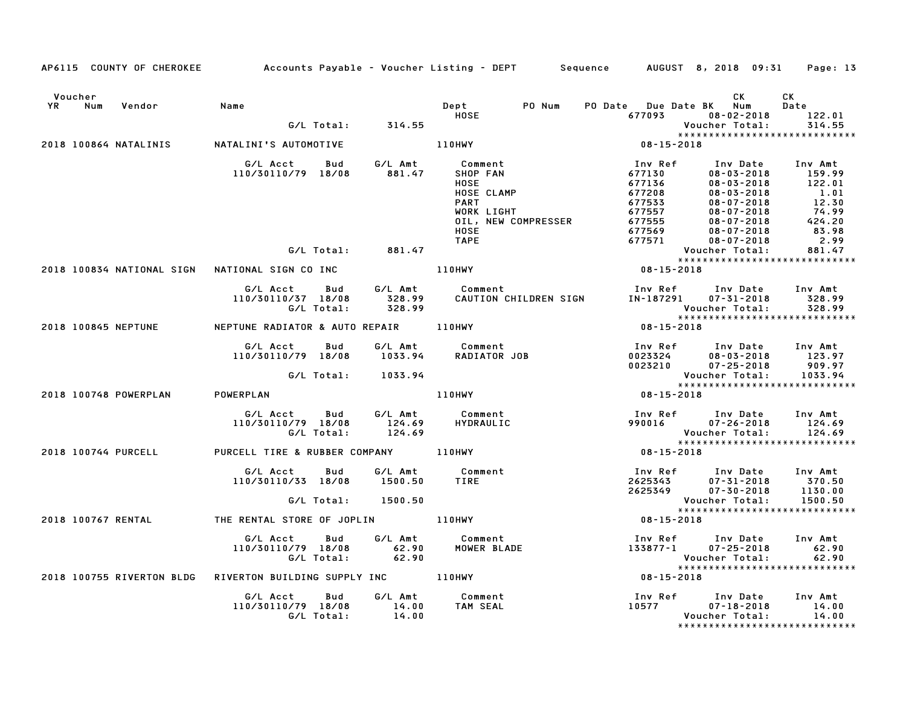| Voucher                   |                                                       |                  |                                      |                                   | CK                                       | CK                    |
|---------------------------|-------------------------------------------------------|------------------|--------------------------------------|-----------------------------------|------------------------------------------|-----------------------|
| YR<br>Num<br>Vendor       | Name                                                  |                  | <b>Dept</b><br>PO Num<br><b>HOSE</b> | PO Date Due Date BK Num<br>677093 | $08 - 02 - 2018$                         | Date                  |
|                           | G/L Total: 314.55                                     |                  |                                      |                                   | Voucher Total:                           | 122.01<br>314.55      |
|                           |                                                       |                  |                                      |                                   | *****************************            |                       |
| 2018 100864 NATALINIS     | NATALINI'S AUTOMOTIVE                                 |                  | <b>110HWY</b>                        | 08-15-2018                        |                                          |                       |
|                           | G/L Acct<br>Bud                                       | G/L Amt          | Comment                              | Inv Ref                           | Inv Date                                 | Inv Amt               |
|                           | 110/30110/79 18/08                                    | 881.47           | SHOP FAN                             | 677130                            | $08 - 03 - 2018$                         | 159.99                |
|                           |                                                       |                  | <b>HOSE</b>                          | 677136                            | $08 - 03 - 2018$                         | 122.01                |
|                           |                                                       |                  | HOSE CLAMP                           | 677208                            | $08 - 03 - 2018$                         | 1.01                  |
|                           |                                                       |                  | <b>PART</b>                          | 677533                            | $08 - 07 - 2018$                         | $\frac{12.30}{76.82}$ |
|                           |                                                       |                  | WORK LIGHT                           | 677557                            | $08 - 07 - 2018$                         | 74.99                 |
|                           |                                                       |                  | OIL, NEW COMPRESSER                  | 677555                            | $08 - 07 - 2018$                         | 424.20                |
|                           |                                                       |                  | HOSE                                 | 677569                            | $08 - 07 - 2018$                         | 83.98                 |
|                           |                                                       |                  | <b>TAPE</b>                          | 677571                            | 08-07-2018                               | 2.99                  |
|                           | G/L Total: 881.47                                     |                  |                                      |                                   | Voucher Total:                           | 881.47                |
| 2018 100834 NATIONAL SIGN | NATIONAL SIGN CO INC                                  | <b>110HWY</b>    |                                      | 08-15-2018                        | *****************************            |                       |
|                           |                                                       |                  |                                      |                                   |                                          |                       |
|                           | G/L Acct Bud                                          | G∕L Amt          | Comment                              |                                   | Inv Ref Inv Date Inv Amt                 |                       |
|                           | 110/30110/37 18/08                                    | 328.99<br>328.99 | CAUTION CHILDREN SIGN                |                                   | IN-187291 07-31-2018                     | 328.99                |
|                           | G/L Total:                                            |                  |                                      |                                   | Voucher Total:                           | 328.99                |
| 2018 100845 NEPTUNE       | NEPTUNE RADIATOR & AUTO REPAIR 110HWY                 |                  |                                      | 08-15-2018                        | *****************************            |                       |
|                           |                                                       |                  |                                      |                                   |                                          |                       |
|                           | G/L Acct<br>Bud                                       | G/L Amt          | Comment                              | Inv Ref                           | Inv Date                                 | Inv Amt               |
|                           | 110/30110/79 18/08                                    | 1033.94          | RADIATOR JOB                         | 0023324                           | $08 - 03 - 2018$                         | 123.97                |
|                           |                                                       |                  |                                      | 0023210                           | $07 - 25 - 2018$                         | 909.97                |
|                           | G/L Total:                                            | 1033.94          |                                      |                                   | Voucher Total:                           | 1033.94               |
|                           |                                                       |                  |                                      |                                   |                                          |                       |
| 2018 100748 POWERPLAN     | POWERPLAN                                             |                  | <b>110HWY</b>                        | 08-15-2018                        |                                          |                       |
|                           | G/L Acct<br>Bud                                       | G/L Amt          | Comment                              |                                   | Inv Ref Inv Date                         | Inv Amt               |
|                           | 110/30110/79 18/08                                    | 124.69           | HYDRAULIC                            | 990016                            | $07 - 26 - 2018$                         | 124.69                |
|                           | G/L Total:                                            | 124.69           |                                      |                                   | Voucher Total:                           | 124.69                |
|                           |                                                       |                  |                                      |                                   | *****************************            |                       |
| 2018 100744 PURCELL       | PURCELL TIRE & RUBBER COMPANY 110HWY                  |                  |                                      | $08 - 15 - 2018$                  |                                          |                       |
|                           | G/L Acct<br>Bud                                       | G/L Amt          | Comment                              |                                   | Inv Ref Inv Date                         | Inv Amt               |
|                           | 110/30110/33 18/08                                    | 1500.50          | TIRE                                 |                                   | $07 - 31 - 2018$                         | 370.50                |
|                           |                                                       |                  |                                      |                                   | 2625343 07-31-2018<br>2625349 07-30-2018 | 1130.00               |
|                           | G/L Total:                                            | 1500.50          |                                      |                                   | Voucher Total:                           | 1500.50               |
|                           |                                                       |                  |                                      |                                   | *****************************            |                       |
| 2018 100767 RENTAL        | THE RENTAL STORE OF JOPLIN THE RENTAL STORE OF JOPLIN |                  |                                      | $08 - 15 - 2018$                  |                                          |                       |
|                           | G/L Acct<br>Bud                                       | G/L Amt          | Comment                              |                                   | Inv Ref      Inv Date                    | Inv Amt               |
|                           | 110/30110/79 18/08                                    | 62.90            | MOWER BLADE                          | 133877-1                          | $07 - 25 - 2018$                         | 62.90                 |
|                           | G/L Total:                                            | 62.90            |                                      |                                   | Voucher Total:                           | 62.90                 |
|                           |                                                       |                  |                                      |                                   | *****************************            |                       |
| 2018 100755 RIVERTON BLDG | RIVERTON BUILDING SUPPLY INC 110HWY                   |                  |                                      | $08 - 15 - 2018$                  |                                          |                       |
|                           | G/L Acct<br>Bud                                       | G/L Amt          | Comment                              | Inv Ref                           | Inv Date                                 | Inv Amt               |
|                           | 110/30110/79 18/08                                    | 14.00            | TAM SEAL                             | 10577                             | $07 - 18 - 2018$                         | 14.00                 |
|                           | G/L Total:                                            | 14.00            |                                      |                                   | Voucher Total:                           | 14.00                 |
|                           |                                                       |                  |                                      |                                   | *****************************            |                       |
|                           |                                                       |                  |                                      |                                   |                                          |                       |

AP6115 COUNTY OF CHEROKEE Accounts Payable - Voucher Listing - DEPT Sequence AUGUST 8, 2018 09:31 Page: 13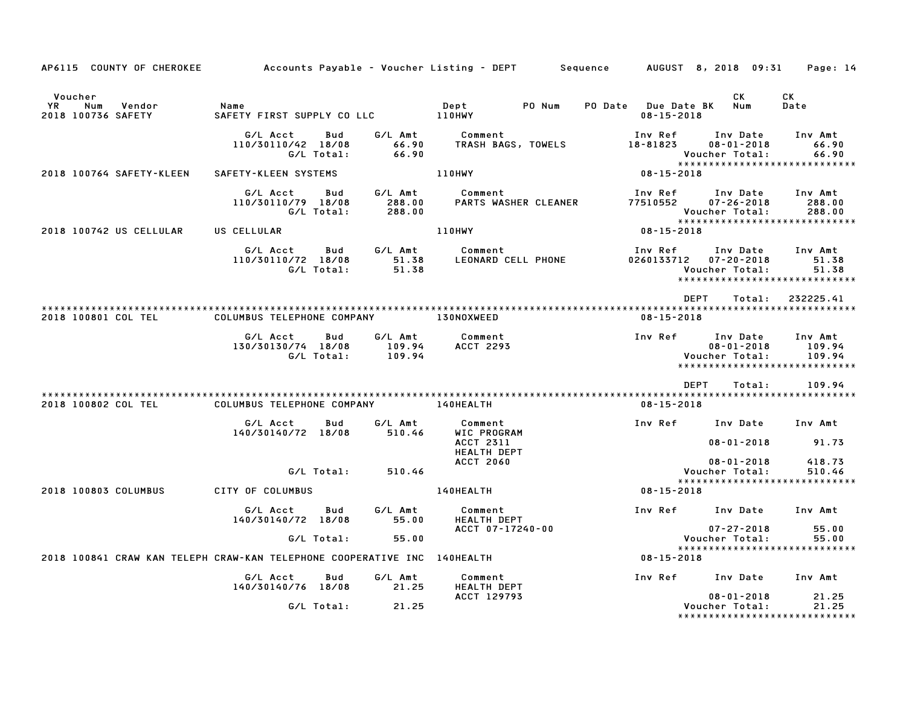| AP6115 COUNTY OF CHEROKEE                                                |                                           |                   |                             | Accounts Payable – Voucher Listing – DEPT         Sequence |                                         | AUGUST 8, 2018 09:31    Page: 14                                                               |                                       |
|--------------------------------------------------------------------------|-------------------------------------------|-------------------|-----------------------------|------------------------------------------------------------|-----------------------------------------|------------------------------------------------------------------------------------------------|---------------------------------------|
| Voucher<br>YR<br>Num<br>Vendor<br>2018 100736 SAFETY                     | Name<br>SAFETY FIRST SUPPLY CO LLC 110HWY |                   |                             | Dept<br>PO Num                                             | PO Date Due Date BK<br>$08 - 15 - 2018$ | CK<br>Num                                                                                      | CK<br>Date                            |
|                                                                          | G/L Acct<br>110/30110/42 18/08            | Bud<br>G/L Total: | G/L Amt<br>66.90<br>66.90   | Comment<br>TRASH BAGS, TOWELS                              | Inv Ref<br>18-81823                     | Inv Date<br>$08 - 01 - 2018$<br>Voucher Total:                                                 | Inv Amt<br>66.90<br>66.90             |
| 2018 100764 SAFETY-KLEEN                                                 | SAFETY-KLEEN SYSTEMS                      |                   |                             | <b>110HWY</b>                                              | 08-15-2018                              | ******************************                                                                 |                                       |
|                                                                          | G/L Acct<br>110/30110/79 18/08            | Bud<br>G/L Total: | G/L Amt<br>288.00<br>288.00 | Comment<br>PARTS WASHER CLEANER                            | Inv Ref<br>77510552                     | Inv Date<br>$07 - 26 - 2018$<br>Voucher Total:<br>*****************************                | Inv Amt<br>288.00<br>288.00           |
| 2018 100742 US CELLULAR                                                  | US CELLULAR                               |                   |                             | 110HWY                                                     | $08 - 15 - 2018$                        |                                                                                                |                                       |
|                                                                          | G/L Acct<br>110/30110/72 18/08            | Bud<br>G/L Total: | G/L Amt<br>51.38<br>51.38   | Comment<br>LEONARD CELL PHONE                              | Inv Ref                                 | Inv Date<br>0260133712 07-20-2018<br>Voucher Total:<br>*****************************           | Inv Amt<br>51.38<br>51.38             |
| 2018 100801 COL TEL                                                      | COLUMBUS TELEPHONE COMPANY                |                   |                             | <b>130NOXWEED</b>                                          | $08 - 15 - 2018$                        | DEPT<br>Total:                                                                                 | 232225.41                             |
|                                                                          | G/L Acct<br>130/30130/74 18/08            | Bud<br>G/L Total: | G/L Amt<br>109.94<br>109.94 | Comment<br><b>ACCT 2293</b>                                | Inv Ref                                 | Inv Date<br>$08 - 01 - 2018$<br>Voucher Total:<br>*****************************<br><b>DEPT</b> | Inv Amt<br>109.94<br>109.94<br>109.94 |
|                                                                          |                                           |                   |                             |                                                            |                                         | Total:                                                                                         |                                       |
| 2018 100802 COL TEL                                                      | COLUMBUS TELEPHONE COMPANY                |                   |                             | <b>140HEALTH</b>                                           | $08 - 15 - 2018$                        |                                                                                                |                                       |
|                                                                          | G/L Acct<br>140/30140/72 18/08            | Bud               | G/L Amt<br>510.46           | Comment<br>WIC PROGRAM<br>ACCT 2311<br><b>HEALTH DEPT</b>  | Inv Ref                                 | Inv Date<br>$08 - 01 - 2018$                                                                   | Inv Amt<br>91.73                      |
|                                                                          |                                           | G/L Total:        | 510.46                      | <b>ACCT 2060</b>                                           |                                         | $08 - 01 - 2018$<br>Voucher Total:<br>*****************************                            | 418.73<br>510.46                      |
| 2018 100803 COLUMBUS                                                     | CITY OF COLUMBUS                          |                   |                             | <b>140HEALTH</b>                                           | 08-15-2018                              |                                                                                                |                                       |
|                                                                          | G/L Acct<br>140/30140/72 18/08            | Bud               | G/L Amt<br>55.00            | Comment<br>HEALTH DEPT<br>ACCT 07-17240-00                 |                                         | Inv Ref Inv Date<br>$07 - 27 - 2018$                                                           | Inv Amt<br>55.00                      |
|                                                                          |                                           | G/L Total:        | 55.00                       |                                                            |                                         | Voucher Total:                                                                                 | 55.00                                 |
| 2018 100841 CRAW KAN TELEPH CRAW-KAN TELEPHONE COOPERATIVE INC 140HEALTH |                                           |                   |                             |                                                            | 08-15-2018                              | *****************************                                                                  |                                       |
|                                                                          | G/L Acct<br>140/30140/76 18/08            | Bud               | G/L Amt<br>21.25            | Comment<br><b>HEALTH DEPT</b>                              |                                         | Inv Ref Inv Date                                                                               | Inv Amt                               |
|                                                                          |                                           | G/L Total:        | 21.25                       | ACCT 129793                                                |                                         | $08 - 01 - 2018$<br>Voucher Total:<br>*****************************                            | 21.25<br>21.25                        |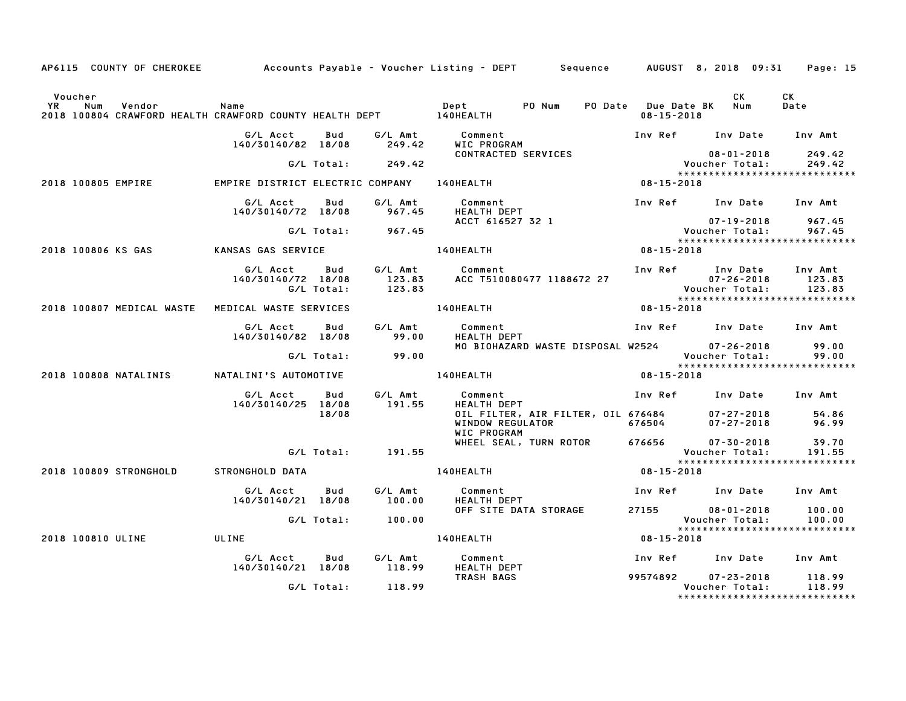|                                                                                          |                                            |                   |                             | AP6115 COUNTY OF CHEROKEE           Accounts Payable – Voucher Listing – DEPT       Sequence |                                         | AUGUST 8, 2018 09:31                                   | Page: 15                    |
|------------------------------------------------------------------------------------------|--------------------------------------------|-------------------|-----------------------------|----------------------------------------------------------------------------------------------|-----------------------------------------|--------------------------------------------------------|-----------------------------|
| Voucher                                                                                  |                                            |                   |                             |                                                                                              |                                         | CK                                                     | CK                          |
| YR<br>Num<br>Vendor<br>2018 100804 CRAWFORD HEALTH CRAWFORD COUNTY HEALTH DEPT 140HEALTH | Name                                       |                   |                             | PO Num<br>Dept                                                                               | PO Date Due Date BK<br>$08 - 15 - 2018$ | Num                                                    | Date                        |
|                                                                                          | G/L Acct<br>140/30140/82 18/08             | Bud               | G/L Amt<br>249.42           | Comment<br>WIC PROGRAM                                                                       | Inv Ref                                 | Inv Date                                               | Inv Amt                     |
|                                                                                          |                                            | G/L Total:        | 249.42                      | CONTRACTED SERVICES                                                                          |                                         | $08 - 01 - 2018$<br>Voucher Total:                     | 249.42<br>249.42            |
| 2018 100805 EMPIRE                                                                       | EMPIRE DISTRICT ELECTRIC COMPANY 140HEALTH |                   |                             |                                                                                              | 08-15-2018                              | *****************************                          |                             |
|                                                                                          | G/L Acct<br>140/30140/72 18/08             | Bud               | G/L Amt<br>967.45           | Comment<br><b>HEALTH DEPT</b>                                                                |                                         | Inv Ref Inv Date Inv Amt                               |                             |
|                                                                                          |                                            | G/L Total:        | 967.45                      | ACCT 616527 32 1                                                                             |                                         | 07-19-2018<br><b>Voucher Total:</b>                    | 967.45<br>967.45            |
| 2018 100806 KS GAS                                                                       | KANSAS GAS SERVICE                         |                   |                             | <b>140HEALTH</b>                                                                             | 08-15-2018                              | *****************************                          |                             |
|                                                                                          | G/L Acct<br>140/30140/72 18/08             | Bud<br>G/L Total: | G/L Amt<br>123.83<br>123.83 | Comment<br>ACC T510080477 1188672 27                                                         |                                         | Inv Ref Inv Date<br>$07 - 26 - 2018$<br>Voucher Total: | Inv Amt<br>123.83<br>123.83 |
| 2018 100807 MEDICAL WASTE                                                                | MEDICAL WASTE SERVICES                     |                   |                             | 140HEALTH                                                                                    | 08-15-2018                              | ******************************                         |                             |
|                                                                                          | G/L Acct                                   | Bud               | G/L Amt                     | Comment                                                                                      |                                         | Inv Ref Inv Date Inv Amt                               |                             |
|                                                                                          | 140/30140/82 18/08                         |                   | 99.00                       | HEALTH DEPT<br>MO BIOHAZARD WASTE DISPOSAL W2524                                             |                                         | 07-26-2018                                             | 99.00                       |
|                                                                                          |                                            | G/L Total:        | 99.00                       |                                                                                              |                                         | Voucher Total:<br>*****************************        | 99.00                       |
| 2018 100808 NATALINIS                                                                    | NATALINI'S AUTOMOTIVE                      |                   |                             | <b>140HEALTH</b>                                                                             | 08-15-2018                              |                                                        |                             |
|                                                                                          | G/L Acct<br>140/30140/25 18/08             | Bud               | G/L Amt<br>191.55           | Comment<br>HEALTH DEPT                                                                       |                                         | Inv Ref Inv Date Inv Amt                               |                             |
|                                                                                          |                                            | 18/08             |                             | OIL FILTER, AIR FILTER, OIL 676484<br>WINDOW REGULATOR<br>WIC PROGRAM                        | 676504                                  | $07 - 27 - 2018$<br>$07 - 27 - 2018$                   | 54.86<br>96.99              |
|                                                                                          |                                            |                   | G/L Total: 191.55           | WHEEL SEAL, TURN ROTOR                                                                       | 676656                                  | $07 - 30 - 2018$<br>Voucher Total:                     | 39.70<br>191.55             |
| 2018 100809 STRONGHOLD                                                                   | STRONGHOLD DATA                            |                   |                             | 140HEALTH                                                                                    | 08-15-2018                              | *****************************                          |                             |
|                                                                                          | G/L Acct<br>140/30140/21 18/08             | Bud               | G/L Amt<br>100.00           | Comment<br>HEALTH DEPT                                                                       |                                         | Inv Ref Inv Date                                       | Inv Amt                     |
|                                                                                          |                                            | G/L Total:        | 100.00                      | OFF SITE DATA STORAGE                                                                        | 27155                                   | $08 - 01 - 2018$<br>Voucher Total:                     | 100.00<br>100.00            |
| 2018 100810 ULINE                                                                        | ULINE                                      |                   |                             | 140HEALTH                                                                                    | 08-15-2018                              | *****************************                          |                             |
|                                                                                          | G/L Acct                                   | Bud               | G/L Amt                     | Comment                                                                                      |                                         | Inv Ref Inv Date                                       | Inv Amt                     |
|                                                                                          | 140/30140/21 18/08                         |                   | 118.99                      | HEALTH DEPT<br>TRASH BAGS                                                                    | 99574892                                | $07 - 23 - 2018$                                       | 118.99                      |
|                                                                                          |                                            | G/L Total:        | 118.99                      |                                                                                              |                                         | Voucher Total:<br>*****************************        | 118.99                      |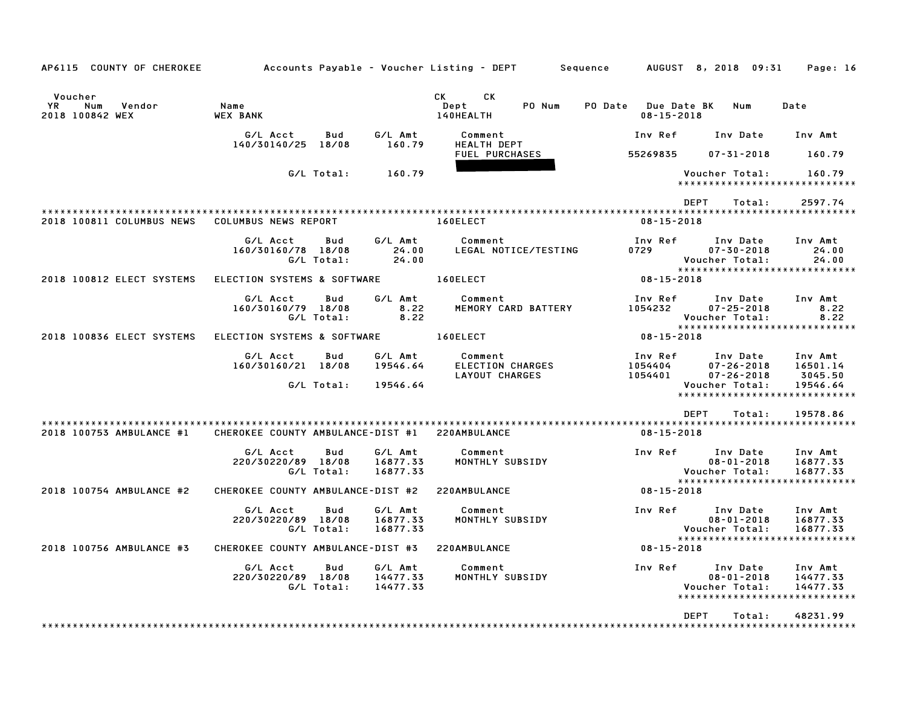| AP6115 COUNTY OF CHEROKEE                                |                                   |                          |                                 | Accounts Payable – Voucher Listing – DEPT                   | Sequence                                          | AUGUST 8, 2018 09:31                                                             | Page: 16                                                 |
|----------------------------------------------------------|-----------------------------------|--------------------------|---------------------------------|-------------------------------------------------------------|---------------------------------------------------|----------------------------------------------------------------------------------|----------------------------------------------------------|
| Voucher<br><b>YR</b><br>Num<br>Vendor<br>2018 100842 WEX | Name<br><b>WEX BANK</b>           |                          |                                 | CK<br>СK<br>Dept<br>PO Num<br>140HEALTH                     | PO Date<br><b>Due Date BK</b><br>$08 - 15 - 2018$ | Num                                                                              | Date                                                     |
|                                                          | G/L Acct<br>140/30140/25 18/08    | Bud                      | G/L Amt<br>160.79               | Comment<br><b>HEALTH DEPT</b>                               | Inv Ref                                           | Inv Date                                                                         | Inv Amt                                                  |
|                                                          |                                   |                          |                                 | <b>FUEL PURCHASES</b>                                       | 55269835                                          | $07 - 31 - 2018$                                                                 | 160.79                                                   |
|                                                          |                                   | G/L Total:               | 160.79                          |                                                             |                                                   | Voucher Total:<br>*****************************                                  | 160.79                                                   |
|                                                          |                                   |                          |                                 |                                                             |                                                   | <b>DEPT</b><br>Total:                                                            | 2597.74                                                  |
| 2018 100811 COLUMBUS NEWS                                | <b>COLUMBUS NEWS REPORT</b>       |                          |                                 | 160ELECT                                                    | $08 - 15 - 2018$                                  |                                                                                  |                                                          |
|                                                          | G/L Acct<br>160/30160/78 18/08    | Bud<br>G/L Total:        | G/L Amt<br>24.00<br>24.00       | Comment<br>LEGAL NOTICE/TESTING                             | Inv Ref<br>0729                                   | Inv Date<br>$07 - 30 - 2018$<br>Voucher Total:<br>*****************************  | Inv Amt<br>24.00<br>24.00                                |
| 2018 100812 ELECT SYSTEMS                                | ELECTION SYSTEMS & SOFTWARE       |                          |                                 | 160ELECT                                                    | $08 - 15 - 2018$                                  |                                                                                  |                                                          |
|                                                          | G/L Acct<br>160/30160/79 18/08    | Bud<br>G/L Total:        | G/L Amt<br>8.22<br>8.22         | Comment<br>MEMORY CARD BATTERY                              | Inv Ref<br>1054232                                | Inv Date<br>$07 - 25 - 2018$<br>Voucher Total:                                   | Inv Amt<br>8.22<br>8.22                                  |
| 2018 100836 ELECT SYSTEMS                                | ELECTION SYSTEMS & SOFTWARE       |                          |                                 | 160ELECT                                                    | $08 - 15 - 2018$                                  | ******************************                                                   |                                                          |
|                                                          | G/L Acct<br>160/30160/21 18/08    | Bud<br>G/L Total:        | G/L Amt<br>19546.64<br>19546.64 | Comment<br><b>ELECTION CHARGES</b><br><b>LAYOUT CHARGES</b> | Inv Ref<br>1054404<br>1054401                     | Inv Date<br>$07 - 26 - 2018$<br>$07 - 26 - 2018$<br>Voucher Total:               | Inv Amt<br>16501.14<br>3045.50<br>19546.64               |
|                                                          |                                   |                          |                                 |                                                             |                                                   | ******************************                                                   |                                                          |
| 2018 100753 AMBULANCE #1                                 | CHEROKEE COUNTY AMBULANCE-DIST #1 |                          |                                 | 220AMBULANCE                                                | $08 - 15 - 2018$                                  | <b>DEPT</b><br>Total:                                                            | 19578.86                                                 |
|                                                          | G/L Acct<br>220/30220/89 18/08    | Bud<br>G/L Total:        | G/L Amt<br>16877.33<br>16877.33 | Comment<br>MONTHLY SUBSIDY                                  | Inv Ref                                           | Inv Date<br>$08 - 01 - 2018$<br>Voucher Total:<br>*****************              | Inv Amt<br>16877.33<br>16877.33<br>* * * * * * * * * * * |
| 2018 100754 AMBULANCE #2                                 | CHEROKEE COUNTY AMBULANCE-DIST #2 |                          |                                 | 220AMBULANCE                                                | $08 - 15 - 2018$                                  |                                                                                  |                                                          |
|                                                          | G/L Acct<br>220/30220/89 18/08    | <b>Bud</b><br>G/L Total: | G/L Amt<br>16877.33<br>16877.33 | Comment<br>MONTHLY SUBSIDY                                  | Inv Ref                                           | Inv Date<br>$08 - 01 - 2018$<br>Voucher Total:<br>****************************** | Inv Amt<br>16877.33<br>16877.33                          |
| 2018 100756 AMBULANCE #3                                 | CHEROKEE COUNTY AMBULANCE-DIST #3 |                          |                                 | 220AMBULANCE                                                | $08 - 15 - 2018$                                  |                                                                                  |                                                          |
|                                                          | G/L Acct<br>220/30220/89 18/08    | Bud<br>G/L Total:        | G/L Amt<br>14477.33<br>14477.33 | Comment<br>MONTHLY SUBSIDY                                  | Inv Ref                                           | Inv Date<br>$08 - 01 - 2018$<br>Voucher Total:<br>*****************************  | Inv Amt<br>14477.33<br>14477.33                          |
|                                                          |                                   |                          |                                 |                                                             |                                                   | <b>DEPT</b><br>Total:                                                            | 48231.99                                                 |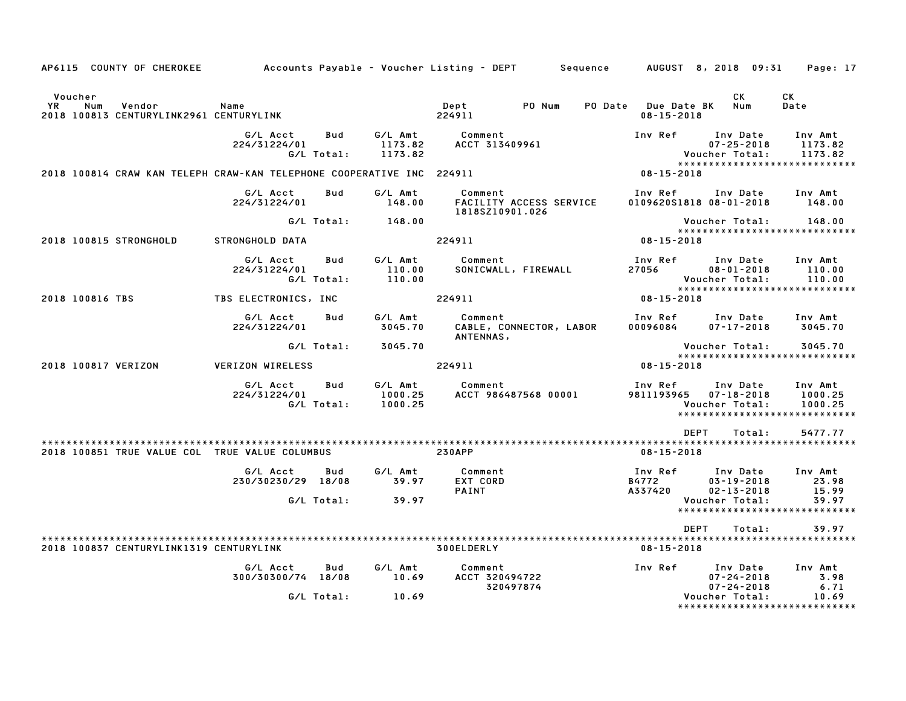| AP6115 COUNTY OF CHEROKEE                                                 |                                |                          |                               | Accounts Payable – Voucher Listing – DEPT             | Sequence                    | AUGUST 8, 2018 09:31                                                            | Page: 17                      |
|---------------------------------------------------------------------------|--------------------------------|--------------------------|-------------------------------|-------------------------------------------------------|-----------------------------|---------------------------------------------------------------------------------|-------------------------------|
| Voucher<br>YR<br>Num<br>Vendor<br>2018 100813 CENTURYLINK2961 CENTURYLINK | Name                           |                          |                               | PO Num<br>Dept<br>224911                              | PO Date<br>$08 - 15 - 2018$ | CK<br><b>Due Date BK</b><br>Num                                                 | CK<br>Date                    |
|                                                                           | G/L Acct<br>224/31224/01       | <b>Bud</b><br>G/L Total: | G/L Amt<br>1173.82<br>1173.82 | Comment<br>ACCT 313409961                             | Inv Ref                     | Inv Date<br>$07 - 25 - 2018$<br>Voucher Total:                                  | Inv Amt<br>1173.82<br>1173.82 |
| 2018 100814 CRAW KAN TELEPH CRAW-KAN TELEPHONE COOPERATIVE INC 224911     |                                |                          |                               |                                                       | 08-15-2018                  | *****************************                                                   |                               |
|                                                                           | G/L Acct<br>224/31224/01       | <b>Bud</b>               | G/L Amt<br>148.00             | Comment<br>FACILITY ACCESS SERVICE<br>1818SZ10901.026 | Inv Ref                     | Inv Date<br>0109620S1818 08-01-2018                                             | Inv Amt<br>148.00             |
|                                                                           |                                | G/L Total:               | 148.00                        |                                                       |                             | Voucher Total:<br>*****************************                                 | 148.00                        |
| 2018 100815 STRONGHOLD                                                    | STRONGHOLD DATA                |                          |                               | 224911                                                | $08 - 15 - 2018$            |                                                                                 |                               |
|                                                                           | G/L Acct<br>224/31224/01       | Bud<br>G/L Total:        | G/L Amt<br>110.00<br>110.00   | Comment<br>SONICWALL, FIREWALL                        | Inv Ref<br>27056            | Inv Date<br>$08 - 01 - 2018$<br>Voucher Total:<br>***************************** | Inv Amt<br>110.00<br>110.00   |
| 2018 100816 TBS                                                           | TBS ELECTRONICS, INC           |                          |                               | 224911                                                | $08 - 15 - 2018$            |                                                                                 |                               |
|                                                                           | G/L Acct<br>224/31224/01       | Bud                      | G/L Amt<br>3045.70            | Comment<br>CABLE, CONNECTOR, LABOR<br>ANTENNAS,       | Inv Ref<br>00096084         | Inv Date<br>$07 - 17 - 2018$                                                    | Inv Amt<br>3045.70            |
|                                                                           |                                | G/L Total:               | 3045.70                       |                                                       |                             | Voucher Total:<br>******************************                                | 3045.70                       |
| 2018 100817 VERIZON                                                       | <b>VERIZON WIRELESS</b>        |                          |                               | 224911                                                | 08-15-2018                  |                                                                                 |                               |
|                                                                           | G/L Acct<br>224/31224/01       | Bud<br>G/L Total:        | G/L Amt<br>1000.25<br>1000.25 | Comment<br>ACCT 986487568 00001                       | Inv Ref<br>9811193965       | Inv Date<br>$07 - 18 - 2018$<br>Voucher Total:<br>***************************** | Inv Amt<br>1000.25<br>1000.25 |
|                                                                           |                                |                          |                               |                                                       |                             | <b>DEPT</b><br>Total:                                                           | 5477.77                       |
| 2018 100851 TRUE VALUE COL TRUE VALUE COLUMBUS                            |                                |                          |                               | <b>230APP</b>                                         | $08 - 15 - 2018$            |                                                                                 |                               |
|                                                                           | G/L Acct<br>230/30230/29 18/08 | Bud                      | G/L Amt<br>39.97              | Comment<br>EXT CORD<br>PAINT                          | Inv Ref<br>B4772<br>A337420 | Inv Date<br>$03 - 19 - 2018$<br>$02 - 13 - 2018$                                | Inv Amt<br>23.98<br>15.99     |
|                                                                           |                                | G/L Total:               | 39.97                         |                                                       |                             | Voucher Total:<br>*****************************                                 | 39.97                         |
|                                                                           |                                |                          |                               |                                                       |                             | <b>DEPT</b><br>Total:                                                           | 39.97                         |
| 2018 100837 CENTURYLINK1319 CENTURYLINK                                   |                                |                          |                               | 300ELDERLY                                            | $08 - 15 - 2018$            |                                                                                 |                               |
|                                                                           | G/L Acct<br>300/30300/74 18/08 | Bud                      | G/L Amt<br>10.69              | Comment<br>ACCT 320494722<br>320497874                | Inv Ref                     | Inv Date<br>$07 - 24 - 2018$<br>$07 - 24 - 2018$                                | Inv Amt<br>3.98<br>6.71       |
|                                                                           |                                | G/L Total:               | 10.69                         |                                                       |                             | Voucher Total:<br>******************************                                | 10.69                         |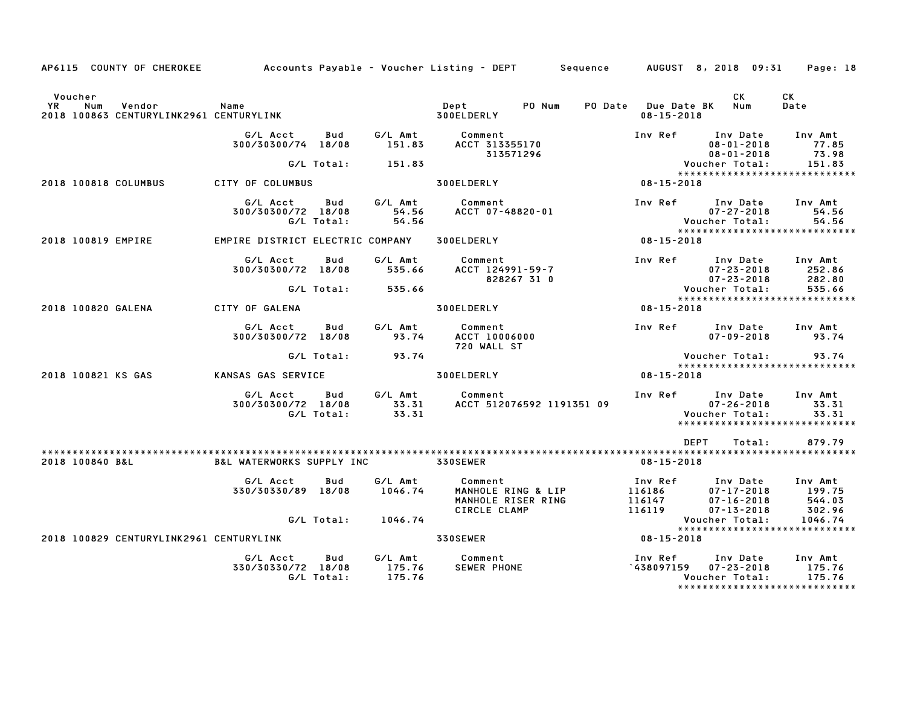| AP6115 COUNTY OF CHEROKEE                                                 |                                      |                   |                             | Accounts Payable – Voucher Listing – DEPT         Sequence |                                         | AUGUST 8, 2018 09:31                                                                     | Page: 18                    |
|---------------------------------------------------------------------------|--------------------------------------|-------------------|-----------------------------|------------------------------------------------------------|-----------------------------------------|------------------------------------------------------------------------------------------|-----------------------------|
| Voucher<br>YR<br>Num<br>Vendor<br>2018 100863 CENTURYLINK2961 CENTURYLINK | Name                                 |                   |                             | Dept<br>PO Num<br>300ELDERLY                               | PO Date Due Date BK<br>$08 - 15 - 2018$ | CK<br>Num                                                                                | СK<br>Date                  |
|                                                                           | G/L Acct<br>300/30300/74 18/08       | Bud               | G/L Amt<br>151.83           | Comment<br>ACCT 313355170                                  | Inv Ref                                 | Inv Date<br>$08 - 01 - 2018$                                                             | Inv Amt<br>77.85<br>73.98   |
|                                                                           |                                      | G/L Total:        | 151.83                      | 313571296                                                  |                                         | $08 - 01 - 2018$<br>Voucher Total:                                                       | 151.83                      |
| 2018 100818 COLUMBUS                                                      | CITY OF COLUMBUS                     |                   |                             | 300ELDERLY                                                 | 08-15-2018                              | *****************************                                                            |                             |
|                                                                           | G/L Acct<br>300/30300/72 18/08       | Bud<br>G/L Total: | G/L Amt<br>54.56<br>54.56   | Comment<br>ACCT 07-48820-01                                | Inv Ref                                 | Inv Date<br>$07 - 27 - 2018$<br>Voucher Total:                                           | Inv Amt<br>54.56<br>54.56   |
| 2018 100819 EMPIRE                                                        | EMPIRE DISTRICT ELECTRIC COMPANY     |                   |                             | 300ELDERLY                                                 | 08-15-2018                              | *****************************                                                            |                             |
|                                                                           | G/L Acct<br>300/30300/72 18/08       | Bud               | G/L Amt<br>535.66           | Comment<br>ACCT 124991-59-7<br>828267 31 0                 | Inv Ref                                 | Inv Date<br>$07 - 23 - 2018$<br>$07 - 23 - 2018$                                         | Inv Amt<br>252.86<br>282.80 |
|                                                                           |                                      | G/L Total:        | 535.66                      |                                                            |                                         | Voucher Total:<br>*****************************                                          | 535.66                      |
| 2018 100820 GALENA                                                        | CITY OF GALENA                       |                   |                             | 300ELDERLY                                                 | 08-15-2018                              |                                                                                          |                             |
|                                                                           | G/L Acct<br>300/30300/72 18/08       | Bud               | G/L Amt<br>93.74            | Comment<br>ACCT 10006000<br>720 WALL ST                    |                                         | Inv Ref Inv Date<br>$07 - 09 - 2018$                                                     | Inv Amt<br>93.74            |
|                                                                           |                                      | G/L Total:        | 93.74                       |                                                            |                                         | Voucher Total:<br>*****************************                                          | 93.74                       |
| 2018 100821 KS GAS                                                        | KANSAS GAS SERVICE                   |                   |                             | 300ELDERLY                                                 | 08-15-2018                              |                                                                                          |                             |
|                                                                           | G/L Acct<br>300/30300/72 18/08       | Bud<br>G/L Total: | G/L Amt<br>33.31<br>33.31   | Comment<br>ACCT 512076592 1191351 09                       |                                         | Inv Ref Inv Date<br>$07 - 26 - 2018$<br>Voucher Total:<br>****************************** | Inv Amt<br>33.31<br>33.31   |
|                                                                           |                                      |                   |                             |                                                            |                                         | <b>DEPT</b><br>Total:                                                                    | 879.79                      |
| 2018 100840 B&L                                                           | <b>B&amp;L WATERWORKS SUPPLY INC</b> |                   |                             | 330SEWER                                                   | $08 - 15 - 2018$                        |                                                                                          |                             |
|                                                                           | G/L Acct<br>330/30330/89 18/08       | Bud               | G/L Amt<br>1046.74          | Comment<br>MANHOLE RING & LIP<br>MANHOLE RISER RING        | Inv Ref<br>116186<br>116147<br>116119   | Inv Date<br>$07 - 17 - 2018$<br>$07 - 16 - 2018$                                         | Inv Amt<br>199.75<br>544.03 |
|                                                                           |                                      | G/L Total:        | 1046.74                     | CIRCLE CLAMP                                               |                                         | $07 - 13 - 2018$<br>Voucher Total:                                                       | 302.96<br>1046.74           |
| 2018 100829 CENTURYLINK2961 CENTURYLINK                                   |                                      |                   |                             | <b>330SEWER</b>                                            | $08 - 15 - 2018$                        | ******************************                                                           |                             |
|                                                                           | G/L Acct<br>330/30330/72 18/08       | Bud<br>G/L Total: | G/L Amt<br>175.76<br>175.76 | Comment<br><b>SEWER PHONE</b>                              | Inv Ref<br><b>438097159</b>             | Inv Date<br>$07 - 23 - 2018$<br>Voucher Total:<br>*****************************          | Inv Amt<br>175.76<br>175.76 |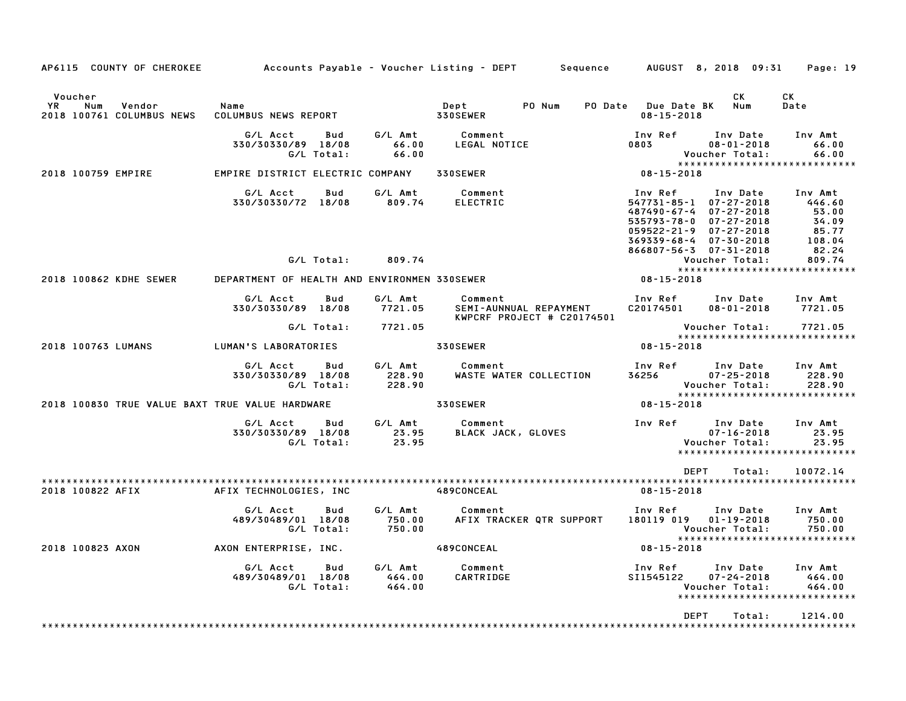| AP6115 COUNTY OF CHEROKEE                                   |                                              |     |                             | Accounts Payable – Voucher Listing – DEPT                       | Sequence                 |                                                                                                                 | AUGUST 8, 2018 09:31                                                                     | Page: 19                                                     |
|-------------------------------------------------------------|----------------------------------------------|-----|-----------------------------|-----------------------------------------------------------------|--------------------------|-----------------------------------------------------------------------------------------------------------------|------------------------------------------------------------------------------------------|--------------------------------------------------------------|
| Voucher<br>YR<br>Num<br>Vendor<br>2018 100761 COLUMBUS NEWS | Name<br>COLUMBUS NEWS REPORT                 |     |                             | Dept<br>330SEWER                                                | PO Num<br><b>PO Date</b> | Due Date BK<br>$08 - 15 - 2018$                                                                                 | CK.<br>Num                                                                               | CK<br>Date                                                   |
|                                                             | G/L Acct<br>330/30330/89 18/08<br>G/L Total: | Bud | G/L Amt<br>66.00<br>66.00   | Comment<br>LEGAL NOTICE                                         |                          | Inv Ref<br>0803                                                                                                 | Inv Date<br>$08 - 01 - 2018$<br>Voucher Total:                                           | Inv Amt<br>66.00<br>66.00                                    |
| 2018 100759 EMPIRE                                          | EMPIRE DISTRICT ELECTRIC COMPANY             |     |                             | 330SEWER                                                        |                          | $08 - 15 - 2018$                                                                                                |                                                                                          | *****************************                                |
|                                                             | G/L Acct<br>330/30330/72 18/08               | Bud | G/L Amt<br>809.74           | Comment<br><b>ELECTRIC</b>                                      |                          | Inv Ref<br>547731-85-1 07-27-2018<br>487490-67-4<br>$535793 - 78 - 0$<br>$059522 - 21 - 9$<br>$369339 - 68 - 4$ | Inv Date<br>$07 - 27 - 2018$<br>$07 - 27 - 2018$<br>$07 - 27 - 2018$<br>$07 - 30 - 2018$ | Inv Amt<br>446.60<br>53.00<br>34.09<br>85.77<br>108.04       |
|                                                             | G/L Total:                                   |     | 809.74                      |                                                                 |                          | 866807-56-3 07-31-2018                                                                                          | Voucher Total:                                                                           | 82.24<br>809.74                                              |
| 2018 100862 KDHE SEWER                                      | DEPARTMENT OF HEALTH AND ENVIRONMEN 330SEWER |     |                             |                                                                 |                          | 08-15-2018                                                                                                      |                                                                                          | *****************************                                |
|                                                             | G/L Acct<br>330/30330/89 18/08               | Bud | G/L Amt<br>7721.05          | Comment<br>SEMI-AUNNUAL REPAYMENT<br>KWPCRF PROJECT # C20174501 |                          | Inv Ref<br>C20174501                                                                                            | Inv Date<br>$08 - 01 - 2018$                                                             | Inv Amt<br>7721.05                                           |
|                                                             | G/L Total:                                   |     | 7721.05                     |                                                                 |                          |                                                                                                                 | Voucher Total:                                                                           | 7721.05<br>*****************************                     |
| 2018 100763 LUMANS                                          | LUMAN'S LABORATORIES                         |     |                             | 330SEWER                                                        |                          | 08-15-2018                                                                                                      |                                                                                          |                                                              |
|                                                             | G/L Acct<br>330/30330/89 18/08<br>G/L Total: | Bud | G/L Amt<br>228.90<br>228.90 | Comment<br>WASTE WATER COLLECTION                               |                          | Inv Ref<br>36256                                                                                                | Inv Date<br>$07 - 25 - 2018$<br>Voucher Total:                                           | Inv Amt<br>228.90<br>228.90<br>***************************** |
| 2018 100830 TRUE VALUE BAXT TRUE VALUE HARDWARE             |                                              |     |                             | 330SEWER                                                        |                          | 08-15-2018                                                                                                      |                                                                                          |                                                              |
|                                                             | G/L Acct<br>330/30330/89 18/08<br>G/L Total: | Bud | G/L Amt<br>23.95<br>23.95   | Comment<br>BLACK JACK, GLOVES                                   |                          | Inv Ref                                                                                                         | Inv Date<br>$07 - 16 - 2018$<br>Voucher Total:                                           | Inv Amt<br>23.95<br>23.95<br>*****************************   |
|                                                             |                                              |     |                             |                                                                 |                          | <b>DEPT</b>                                                                                                     | Total:                                                                                   | 10072.14                                                     |
| 2018 100822 AFIX                                            | AFIX TECHNOLOGIES, INC                       |     |                             | 489CONCEAL                                                      |                          | $08 - 15 - 2018$                                                                                                |                                                                                          |                                                              |
|                                                             | G/L Acct<br>489/30489/01 18/08<br>G/L Total: | Bud | G/L Amt<br>750.00<br>750.00 | Comment<br>AFIX TRACKER QTR SUPPORT                             |                          | Inv Ref<br>180119 019                                                                                           | Inv Date<br>$01 - 19 - 2018$<br>Voucher Total:                                           | Inv Amt<br>750.00<br>750.00<br>***************************** |
| 2018 100823 AXON                                            | AXON ENTERPRISE, INC.                        |     |                             | 489CONCEAL                                                      |                          | $08 - 15 - 2018$                                                                                                |                                                                                          |                                                              |
|                                                             | G/L Acct<br>489/30489/01 18/08<br>G/L Total: | Bud | G/L Amt<br>464.00<br>464.00 | Comment<br>CARTRIDGE                                            |                          | Inv Ref<br>SI1545122                                                                                            | Inv Date<br>$07 - 24 - 2018$<br>Voucher Total:                                           | Inv Amt<br>464.00<br>464.00<br>***************************** |
|                                                             |                                              |     |                             |                                                                 |                          | <b>DEPT</b>                                                                                                     | Total:                                                                                   | 1214.00                                                      |